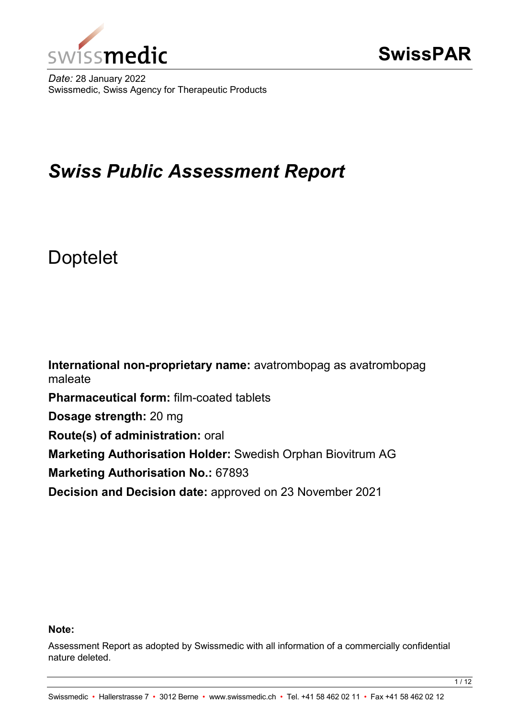

*Date:* 28 January 2022 Swissmedic, Swiss Agency for Therapeutic Products

# *Swiss Public Assessment Report*

# Doptelet

**International non-proprietary name:** avatrombopag as avatrombopag maleate **Pharmaceutical form:** film-coated tablets **Dosage strength:** 20 mg **Route(s) of administration:** oral **Marketing Authorisation Holder:** Swedish Orphan Biovitrum AG **Marketing Authorisation No.:** 67893 **Decision and Decision date:** approved on 23 November 2021

# **Note:**

Assessment Report as adopted by Swissmedic with all information of a commercially confidential nature deleted.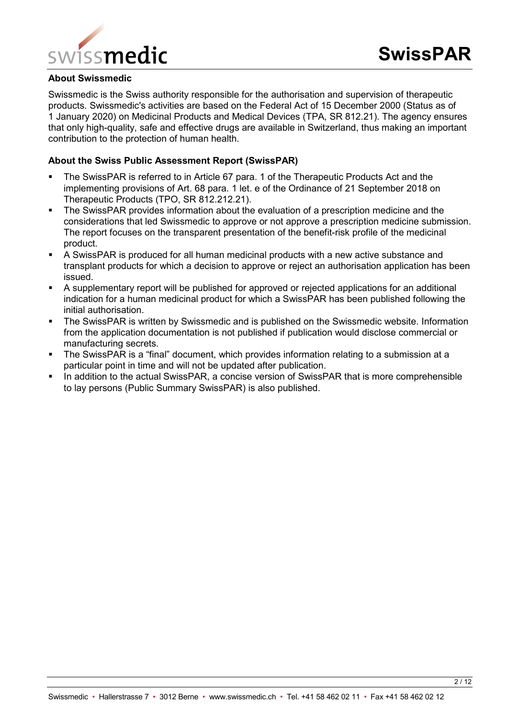

#### **About Swissmedic**

Swissmedic is the Swiss authority responsible for the authorisation and supervision of therapeutic products. Swissmedic's activities are based on the Federal Act of 15 December 2000 (Status as of 1 January 2020) on Medicinal Products and Medical Devices (TPA, SR 812.21). The agency ensures that only high-quality, safe and effective drugs are available in Switzerland, thus making an important contribution to the protection of human health.

#### **About the Swiss Public Assessment Report (SwissPAR)**

- The SwissPAR is referred to in Article 67 para. 1 of the Therapeutic Products Act and the implementing provisions of Art. 68 para. 1 let. e of the Ordinance of 21 September 2018 on Therapeutic Products (TPO, SR 812.212.21).
- The SwissPAR provides information about the evaluation of a prescription medicine and the considerations that led Swissmedic to approve or not approve a prescription medicine submission. The report focuses on the transparent presentation of the benefit-risk profile of the medicinal product.
- A SwissPAR is produced for all human medicinal products with a new active substance and transplant products for which a decision to approve or reject an authorisation application has been issued.
- A supplementary report will be published for approved or rejected applications for an additional indication for a human medicinal product for which a SwissPAR has been published following the initial authorisation.
- **The SwissPAR is written by Swissmedic and is published on the Swissmedic website. Information** from the application documentation is not published if publication would disclose commercial or manufacturing secrets.
- The SwissPAR is a "final" document, which provides information relating to a submission at a particular point in time and will not be updated after publication.
- In addition to the actual SwissPAR, a concise version of SwissPAR that is more comprehensible to lay persons (Public Summary SwissPAR) is also published.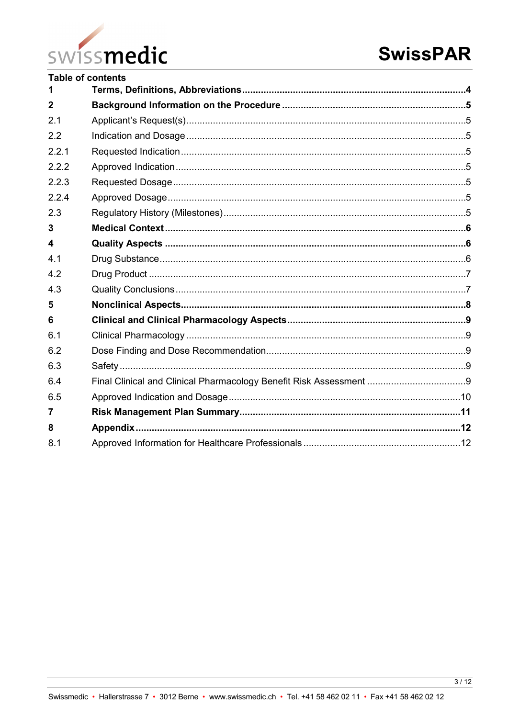

|                         | <b>Table of contents</b> |  |
|-------------------------|--------------------------|--|
|                         |                          |  |
| $\overline{2}$          |                          |  |
| 2.1                     |                          |  |
| 2.2                     |                          |  |
| 2.2.1                   |                          |  |
| 2.2.2                   |                          |  |
| 2.2.3                   |                          |  |
| 2.2.4                   |                          |  |
| 2.3                     |                          |  |
| 3                       |                          |  |
| $\overline{\mathbf{4}}$ |                          |  |
| 4.1                     |                          |  |
| 4.2                     |                          |  |
| 4.3                     |                          |  |
| 5                       |                          |  |
| 6                       |                          |  |
| 6.1                     |                          |  |
| 6.2                     |                          |  |
| 6.3                     |                          |  |
| 6.4                     |                          |  |
| 6.5                     |                          |  |
| 7                       |                          |  |
| 8                       |                          |  |
| 8.1                     |                          |  |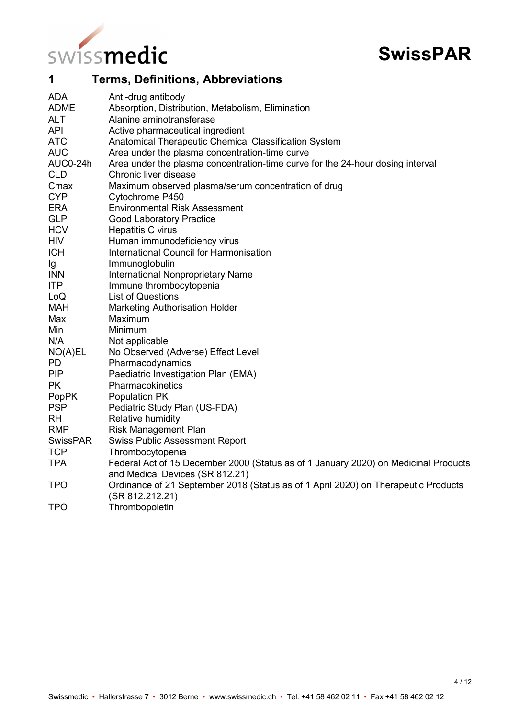

<span id="page-3-0"></span>

| 1               | <b>Terms, Definitions, Abbreviations</b>                                                                               |
|-----------------|------------------------------------------------------------------------------------------------------------------------|
| <b>ADA</b>      | Anti-drug antibody                                                                                                     |
| <b>ADME</b>     | Absorption, Distribution, Metabolism, Elimination                                                                      |
| <b>ALT</b>      | Alanine aminotransferase                                                                                               |
| <b>API</b>      | Active pharmaceutical ingredient                                                                                       |
| <b>ATC</b>      | Anatomical Therapeutic Chemical Classification System                                                                  |
| <b>AUC</b>      | Area under the plasma concentration-time curve                                                                         |
| AUC0-24h        | Area under the plasma concentration-time curve for the 24-hour dosing interval                                         |
| <b>CLD</b>      | Chronic liver disease                                                                                                  |
| Cmax            | Maximum observed plasma/serum concentration of drug                                                                    |
| <b>CYP</b>      | Cytochrome P450                                                                                                        |
| ERA             | <b>Environmental Risk Assessment</b>                                                                                   |
| <b>GLP</b>      | <b>Good Laboratory Practice</b>                                                                                        |
| <b>HCV</b>      | Hepatitis C virus                                                                                                      |
| <b>HIV</b>      | Human immunodeficiency virus                                                                                           |
| <b>ICH</b>      | International Council for Harmonisation                                                                                |
| Ig              | Immunoglobulin                                                                                                         |
| <b>INN</b>      | <b>International Nonproprietary Name</b>                                                                               |
| ITP             | Immune thrombocytopenia                                                                                                |
| LoQ             | <b>List of Questions</b>                                                                                               |
| <b>MAH</b>      | <b>Marketing Authorisation Holder</b>                                                                                  |
| Max             | Maximum                                                                                                                |
| Min             | Minimum                                                                                                                |
| N/A             | Not applicable                                                                                                         |
| NO(A)EL         | No Observed (Adverse) Effect Level                                                                                     |
| <b>PD</b>       | Pharmacodynamics                                                                                                       |
| <b>PIP</b>      | Paediatric Investigation Plan (EMA)                                                                                    |
| <b>PK</b>       | Pharmacokinetics                                                                                                       |
| <b>PopPK</b>    | Population PK                                                                                                          |
| <b>PSP</b>      | Pediatric Study Plan (US-FDA)                                                                                          |
| <b>RH</b>       | Relative humidity                                                                                                      |
| <b>RMP</b>      | <b>Risk Management Plan</b>                                                                                            |
| <b>SwissPAR</b> | <b>Swiss Public Assessment Report</b>                                                                                  |
| <b>TCP</b>      | Thrombocytopenia                                                                                                       |
| <b>TPA</b>      | Federal Act of 15 December 2000 (Status as of 1 January 2020) on Medicinal Products<br>and Medical Devices (SR 812.21) |
| <b>TPO</b>      | Ordinance of 21 September 2018 (Status as of 1 April 2020) on Therapeutic Products<br>(SR 812.212.21)                  |
| <b>TPO</b>      | Thrombopoietin                                                                                                         |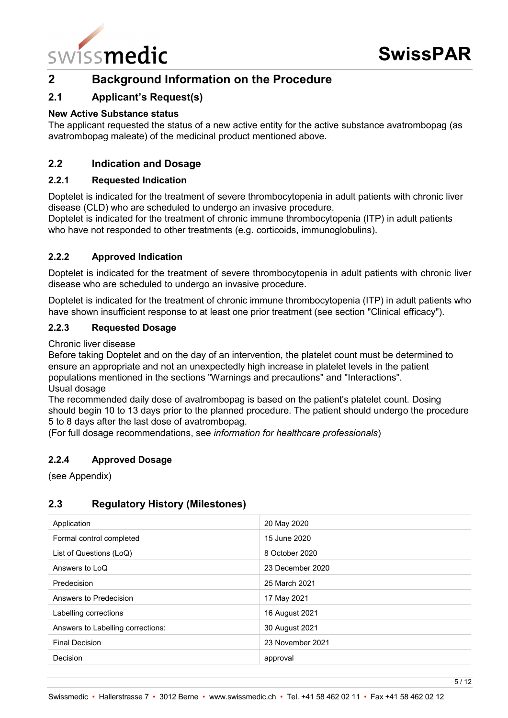

# <span id="page-4-0"></span>**2 Background Information on the Procedure**

# <span id="page-4-1"></span>**2.1 Applicant's Request(s)**

#### **New Active Substance status**

The applicant requested the status of a new active entity for the active substance avatrombopag (as avatrombopag maleate) of the medicinal product mentioned above.

# <span id="page-4-2"></span>**2.2 Indication and Dosage**

#### <span id="page-4-3"></span>**2.2.1 Requested Indication**

Doptelet is indicated for the treatment of severe thrombocytopenia in adult patients with chronic liver disease (CLD) who are scheduled to undergo an invasive procedure.

Doptelet is indicated for the treatment of chronic immune thrombocytopenia (ITP) in adult patients who have not responded to other treatments (e.g. corticoids, immunoglobulins).

#### <span id="page-4-4"></span>**2.2.2 Approved Indication**

Doptelet is indicated for the treatment of severe thrombocytopenia in adult patients with chronic liver disease who are scheduled to undergo an invasive procedure.

Doptelet is indicated for the treatment of chronic immune thrombocytopenia (ITP) in adult patients who have shown insufficient response to at least one prior treatment (see section "Clinical efficacy").

#### <span id="page-4-5"></span>**2.2.3 Requested Dosage**

Chronic liver disease

Before taking Doptelet and on the day of an intervention, the platelet count must be determined to ensure an appropriate and not an unexpectedly high increase in platelet levels in the patient populations mentioned in the sections "Warnings and precautions" and "Interactions". Usual dosage

The recommended daily dose of avatrombopag is based on the patient's platelet count. Dosing should begin 10 to 13 days prior to the planned procedure. The patient should undergo the procedure 5 to 8 days after the last dose of avatrombopag.

(For full dosage recommendations, see *information for healthcare professionals*)

#### <span id="page-4-6"></span>**2.2.4 Approved Dosage**

(see Appendix)

# <span id="page-4-7"></span>**2.3 Regulatory History (Milestones)**

| Application                       | 20 May 2020      |
|-----------------------------------|------------------|
| Formal control completed          | 15 June 2020     |
| List of Questions (LoQ)           | 8 October 2020   |
| Answers to LoQ                    | 23 December 2020 |
| Predecision                       | 25 March 2021    |
| Answers to Predecision            | 17 May 2021      |
| Labelling corrections             | 16 August 2021   |
| Answers to Labelling corrections: | 30 August 2021   |
| <b>Final Decision</b>             | 23 November 2021 |
| Decision                          | approval         |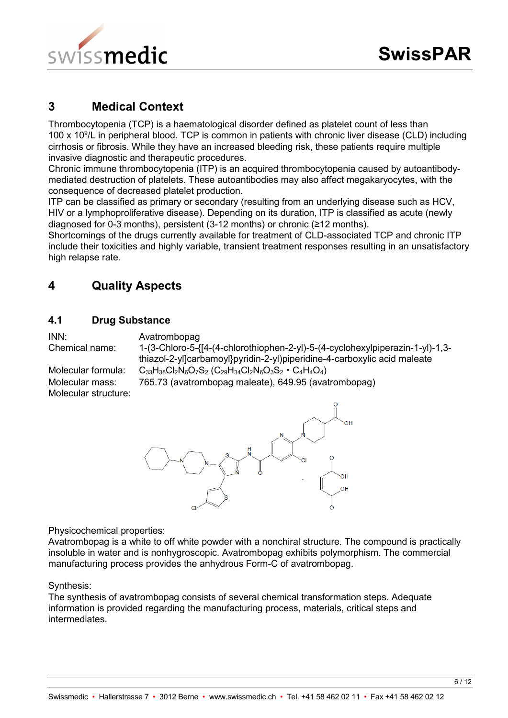

# <span id="page-5-0"></span>**3 Medical Context**

Thrombocytopenia (TCP) is a haematological disorder defined as platelet count of less than 100 x 109 /L in peripheral blood. TCP is common in patients with chronic liver disease (CLD) including cirrhosis or fibrosis. While they have an increased bleeding risk, these patients require multiple invasive diagnostic and therapeutic procedures.

Chronic immune thrombocytopenia (ITP) is an acquired thrombocytopenia caused by autoantibodymediated destruction of platelets. These autoantibodies may also affect megakaryocytes, with the consequence of decreased platelet production.

ITP can be classified as primary or secondary (resulting from an underlying disease such as HCV, HIV or a lymphoproliferative disease). Depending on its duration, ITP is classified as acute (newly diagnosed for 0-3 months), persistent (3-12 months) or chronic (≥12 months).

Shortcomings of the drugs currently available for treatment of CLD-associated TCP and chronic ITP include their toxicities and highly variable, transient treatment responses resulting in an unsatisfactory high relapse rate.

# <span id="page-5-1"></span>**4 Quality Aspects**

# <span id="page-5-2"></span>**4.1 Drug Substance**

INN: Avatrombopag

| Chemical name:       | 1,3-(3-Chloro-5-{[4-(4-chlorothiophen-2-yl)-5-(4-cyclohexylpiperazin-1-yl)-1,3-                                                                                            |
|----------------------|----------------------------------------------------------------------------------------------------------------------------------------------------------------------------|
|                      | thiazol-2-yl]carbamoyl}pyridin-2-yl)piperidine-4-carboxylic acid maleate                                                                                                   |
| Molecular formula:   | $C_{33}H_{38}Cl_2N_6O_7S_2$ (C <sub>29</sub> H <sub>34</sub> Cl <sub>2</sub> N <sub>6</sub> O <sub>3</sub> S <sub>2</sub> · C <sub>4</sub> H <sub>4</sub> O <sub>4</sub> ) |
| Molecular mass:      | 765.73 (avatrombopag maleate), 649.95 (avatrombopag)                                                                                                                       |
| Molecular structure: |                                                                                                                                                                            |



Physicochemical properties:

Avatrombopag is a white to off white powder with a nonchiral structure. The compound is practically insoluble in water and is nonhygroscopic. Avatrombopag exhibits polymorphism. The commercial manufacturing process provides the anhydrous Form-C of avatrombopag.

#### Synthesis:

The synthesis of avatrombopag consists of several chemical transformation steps. Adequate information is provided regarding the manufacturing process, materials, critical steps and intermediates.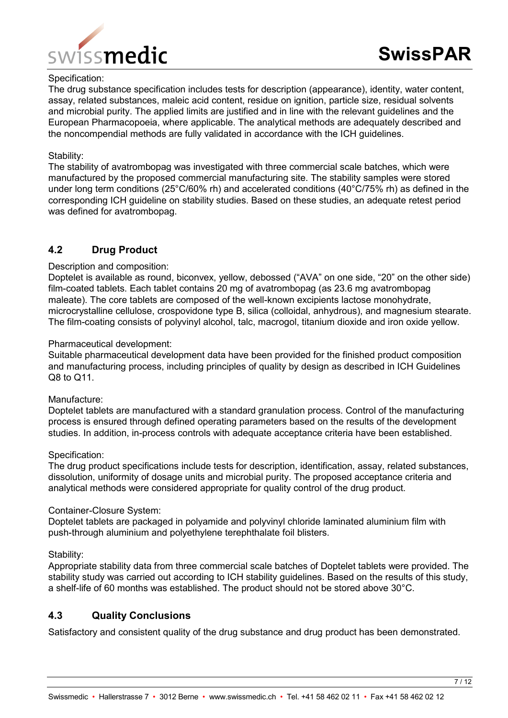

#### Specification:

The drug substance specification includes tests for description (appearance), identity, water content, assay, related substances, maleic acid content, residue on ignition, particle size, residual solvents and microbial purity. The applied limits are justified and in line with the relevant guidelines and the European Pharmacopoeia, where applicable. The analytical methods are adequately described and the noncompendial methods are fully validated in accordance with the ICH guidelines.

#### Stability:

The stability of avatrombopag was investigated with three commercial scale batches, which were manufactured by the proposed commercial manufacturing site. The stability samples were stored under long term conditions (25°C/60% rh) and accelerated conditions (40°C/75% rh) as defined in the corresponding ICH guideline on stability studies. Based on these studies, an adequate retest period was defined for avatrombopag.

# <span id="page-6-0"></span>**4.2 Drug Product**

#### Description and composition:

Doptelet is available as round, biconvex, yellow, debossed ("AVA" on one side, "20" on the other side) film-coated tablets. Each tablet contains 20 mg of avatrombopag (as 23.6 mg avatrombopag maleate). The core tablets are composed of the well-known excipients lactose monohydrate, microcrystalline cellulose, crospovidone type B, silica (colloidal, anhydrous), and magnesium stearate. The film-coating consists of polyvinyl alcohol, talc, macrogol, titanium dioxide and iron oxide yellow.

#### Pharmaceutical development:

Suitable pharmaceutical development data have been provided for the finished product composition and manufacturing process, including principles of quality by design as described in ICH Guidelines Q8 to Q11.

#### Manufacture:

Doptelet tablets are manufactured with a standard granulation process. Control of the manufacturing process is ensured through defined operating parameters based on the results of the development studies. In addition, in-process controls with adequate acceptance criteria have been established.

#### Specification:

The drug product specifications include tests for description, identification, assay, related substances, dissolution, uniformity of dosage units and microbial purity. The proposed acceptance criteria and analytical methods were considered appropriate for quality control of the drug product.

#### Container-Closure System:

Doptelet tablets are packaged in polyamide and polyvinyl chloride laminated aluminium film with push-through aluminium and polyethylene terephthalate foil blisters.

#### Stability:

Appropriate stability data from three commercial scale batches of Doptelet tablets were provided. The stability study was carried out according to ICH stability guidelines. Based on the results of this study, a shelf-life of 60 months was established. The product should not be stored above 30°C.

# <span id="page-6-1"></span>**4.3 Quality Conclusions**

Satisfactory and consistent quality of the drug substance and drug product has been demonstrated.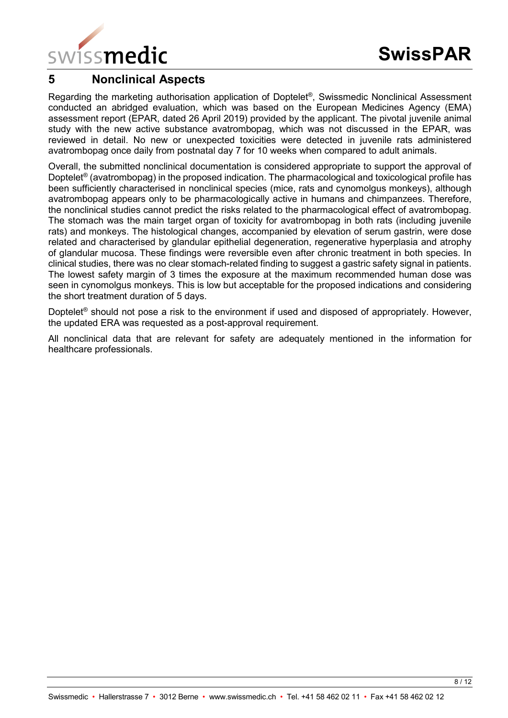

# <span id="page-7-0"></span>**5 Nonclinical Aspects**

Regarding the marketing authorisation application of Doptelet®, Swissmedic Nonclinical Assessment conducted an abridged evaluation, which was based on the European Medicines Agency (EMA) assessment report (EPAR, dated 26 April 2019) provided by the applicant. The pivotal juvenile animal study with the new active substance avatrombopag, which was not discussed in the EPAR, was reviewed in detail. No new or unexpected toxicities were detected in juvenile rats administered avatrombopag once daily from postnatal day 7 for 10 weeks when compared to adult animals.

Overall, the submitted nonclinical documentation is considered appropriate to support the approval of Doptelet® (avatrombopag) in the proposed indication. The pharmacological and toxicological profile has been sufficiently characterised in nonclinical species (mice, rats and cynomolgus monkeys), although avatrombopag appears only to be pharmacologically active in humans and chimpanzees. Therefore, the nonclinical studies cannot predict the risks related to the pharmacological effect of avatrombopag. The stomach was the main target organ of toxicity for avatrombopag in both rats (including juvenile rats) and monkeys. The histological changes, accompanied by elevation of serum gastrin, were dose related and characterised by glandular epithelial degeneration, regenerative hyperplasia and atrophy of glandular mucosa. These findings were reversible even after chronic treatment in both species. In clinical studies, there was no clear stomach-related finding to suggest a gastric safety signal in patients. The lowest safety margin of 3 times the exposure at the maximum recommended human dose was seen in cynomolgus monkeys. This is low but acceptable for the proposed indications and considering the short treatment duration of 5 days.

Doptelet<sup>®</sup> should not pose a risk to the environment if used and disposed of appropriately. However, the updated ERA was requested as a post-approval requirement.

All nonclinical data that are relevant for safety are adequately mentioned in the information for healthcare professionals.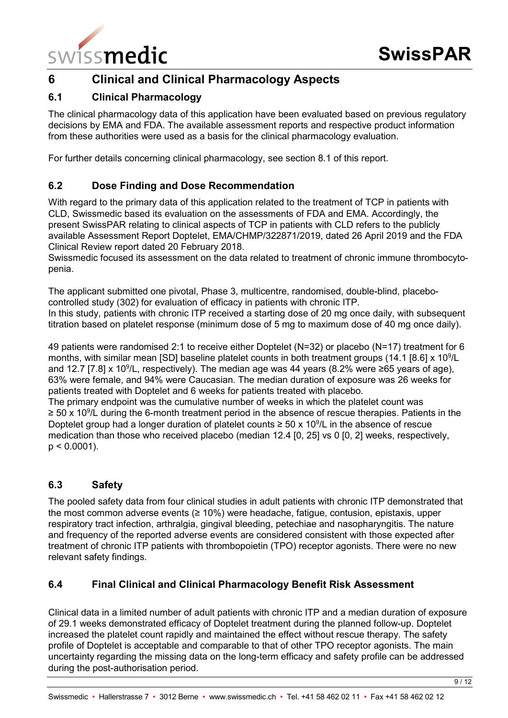

# <span id="page-8-0"></span>**6 Clinical and Clinical Pharmacology Aspects**

# <span id="page-8-1"></span>**6.1 Clinical Pharmacology**

The clinical pharmacology data of this application have been evaluated based on previous regulatory decisions by EMA and FDA. The available assessment reports and respective product information from these authorities were used as a basis for the clinical pharmacology evaluation.

For further details concerning clinical pharmacology, see section 8.1 of this report.

# <span id="page-8-2"></span>**6.2 Dose Finding and Dose Recommendation**

With regard to the primary data of this application related to the treatment of TCP in patients with CLD, Swissmedic based its evaluation on the assessments of FDA and EMA. Accordingly, the present SwissPAR relating to clinical aspects of TCP in patients with CLD refers to the publicly available Assessment Report Doptelet, EMA/CHMP/322871/2019, dated 26 April 2019 and the FDA Clinical Review report dated 20 February 2018.

Swissmedic focused its assessment on the data related to treatment of chronic immune thrombocytopenia.

The applicant submitted one pivotal, Phase 3, multicentre, randomised, double-blind, placebocontrolled study (302) for evaluation of efficacy in patients with chronic ITP. In this study, patients with chronic ITP received a starting dose of 20 mg once daily, with subsequent titration based on platelet response (minimum dose of 5 mg to maximum dose of 40 mg once daily).

49 patients were randomised 2:1 to receive either Doptelet (N=32) or placebo (N=17) treatment for 6 months, with similar mean [SD] baseline platelet counts in both treatment groups (14.1 [8.6] x 10<sup>9</sup>/L and 12.7 [7.8] x 10<sup>9</sup>/L, respectively). The median age was 44 years (8.2% were ≥65 years of age), 63% were female, and 94% were Caucasian. The median duration of exposure was 26 weeks for patients treated with Doptelet and 6 weeks for patients treated with placebo.

The primary endpoint was the cumulative number of weeks in which the platelet count was ≥ 50 x 10<sup>9</sup>/L during the 6-month treatment period in the absence of rescue therapies. Patients in the Doptelet group had a longer duration of platelet counts  $\geq$  50 x 10<sup>9</sup>/L in the absence of rescue medication than those who received placebo (median 12.4 [0, 25] vs 0 [0, 2] weeks, respectively,  $p < 0.0001$ ).

# <span id="page-8-3"></span>**6.3 Safety**

The pooled safety data from four clinical studies in adult patients with chronic ITP demonstrated that the most common adverse events (≥ 10%) were headache, fatigue, contusion, epistaxis, upper respiratory tract infection, arthralgia, gingival bleeding, petechiae and nasopharyngitis. The nature and frequency of the reported adverse events are considered consistent with those expected after treatment of chronic ITP patients with thrombopoietin (TPO) receptor agonists. There were no new relevant safety findings.

# <span id="page-8-4"></span>**6.4 Final Clinical and Clinical Pharmacology Benefit Risk Assessment**

Clinical data in a limited number of adult patients with chronic ITP and a median duration of exposure of 29.1 weeks demonstrated efficacy of Doptelet treatment during the planned follow-up. Doptelet increased the platelet count rapidly and maintained the effect without rescue therapy. The safety profile of Doptelet is acceptable and comparable to that of other TPO receptor agonists. The main uncertainty regarding the missing data on the long-term efficacy and safety profile can be addressed during the post-authorisation period.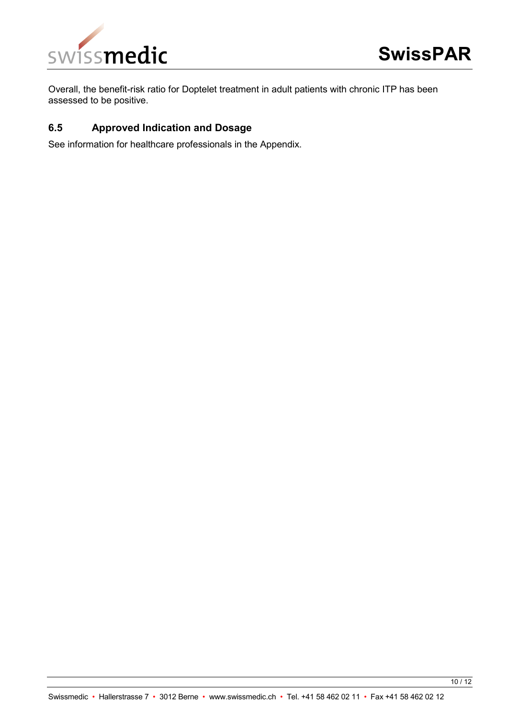

Overall, the benefit-risk ratio for Doptelet treatment in adult patients with chronic ITP has been assessed to be positive.

# <span id="page-9-0"></span>**6.5 Approved Indication and Dosage**

See information for healthcare professionals in the Appendix.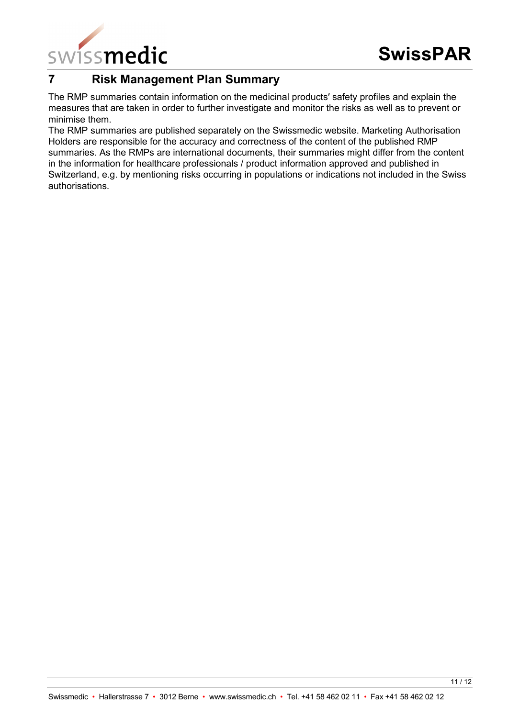

# <span id="page-10-0"></span>**7 Risk Management Plan Summary**

The RMP summaries contain information on the medicinal products′ safety profiles and explain the measures that are taken in order to further investigate and monitor the risks as well as to prevent or minimise them.

The RMP summaries are published separately on the Swissmedic website. Marketing Authorisation Holders are responsible for the accuracy and correctness of the content of the published RMP summaries. As the RMPs are international documents, their summaries might differ from the content in the information for healthcare professionals / product information approved and published in Switzerland, e.g. by mentioning risks occurring in populations or indications not included in the Swiss authorisations.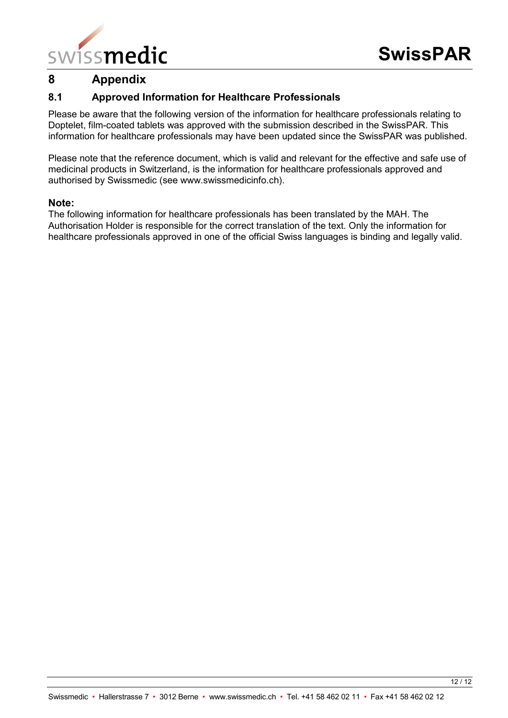

# <span id="page-11-0"></span>**8 Appendix**

# <span id="page-11-1"></span>**8.1 Approved Information for Healthcare Professionals**

Please be aware that the following version of the information for healthcare professionals relating to Doptelet, film-coated tablets was approved with the submission described in the SwissPAR. This information for healthcare professionals may have been updated since the SwissPAR was published.

Please note that the reference document, which is valid and relevant for the effective and safe use of medicinal products in Switzerland, is the information for healthcare professionals approved and authorised by Swissmedic (see www.swissmedicinfo.ch).

#### **Note:**

The following information for healthcare professionals has been translated by the MAH. The Authorisation Holder is responsible for the correct translation of the text. Only the information for healthcare professionals approved in one of the official Swiss languages is binding and legally valid.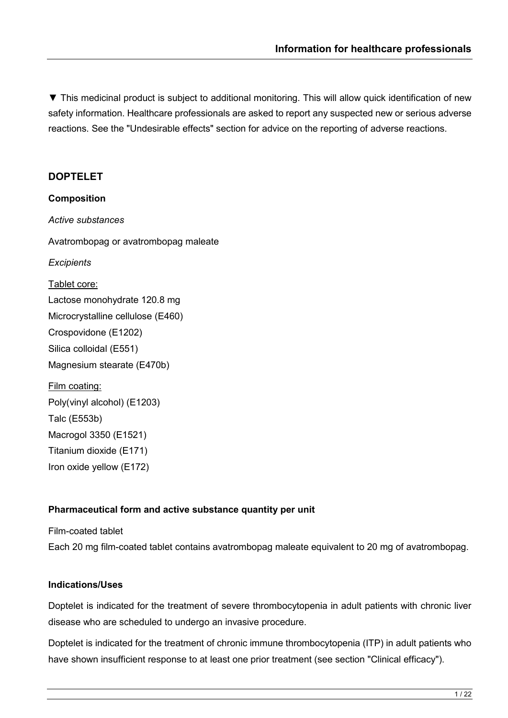▼ This medicinal product is subject to additional monitoring. This will allow quick identification of new safety information. Healthcare professionals are asked to report any suspected new or serious adverse reactions. See the "Undesirable effects" section for advice on the reporting of adverse reactions.

# **DOPTELET**

**Composition** *Active substances* Avatrombopag or avatrombopag maleate *Excipients* Tablet core: Lactose monohydrate 120.8 mg Microcrystalline cellulose (E460) Crospovidone (E1202) Silica colloidal (E551) Magnesium stearate (E470b) Film coating: Poly(vinyl alcohol) (E1203) Talc (E553b) Macrogol 3350 (E1521) Titanium dioxide (E171)

# **Pharmaceutical form and active substance quantity per unit**

Film-coated tablet Each 20 mg film-coated tablet contains avatrombopag maleate equivalent to 20 mg of avatrombopag.

# **Indications/Uses**

Iron oxide yellow (E172)

Doptelet is indicated for the treatment of severe thrombocytopenia in adult patients with chronic liver disease who are scheduled to undergo an invasive procedure.

Doptelet is indicated for the treatment of chronic immune thrombocytopenia (ITP) in adult patients who have shown insufficient response to at least one prior treatment (see section "Clinical efficacy").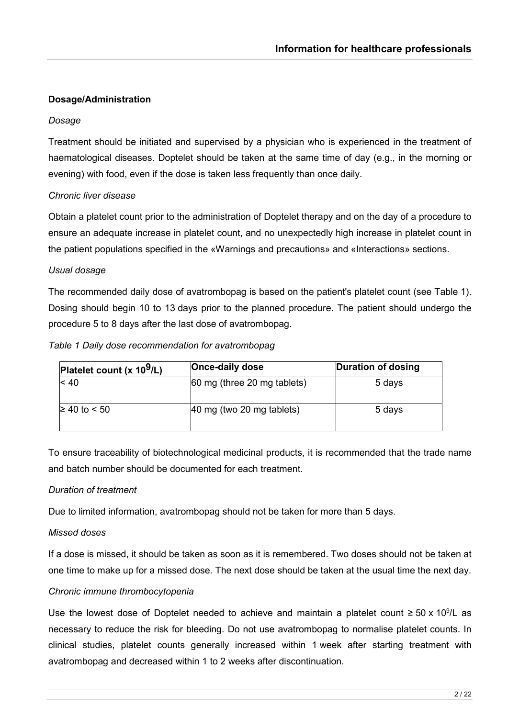## **Dosage/Administration**

#### *Dosage*

Treatment should be initiated and supervised by a physician who is experienced in the treatment of haematological diseases. Doptelet should be taken at the same time of day (e.g., in the morning or evening) with food, even if the dose is taken less frequently than once daily.

# *Chronic liver disease*

Obtain a platelet count prior to the administration of Doptelet therapy and on the day of a procedure to ensure an adequate increase in platelet count, and no unexpectedly high increase in platelet count in the patient populations specified in the «Warnings and precautions» and «Interactions» sections.

#### *Usual dosage*

The recommended daily dose of avatrombopag is based on the patient's platelet count (see Table 1). Dosing should begin 10 to 13 days prior to the planned procedure. The patient should undergo the procedure 5 to 8 days after the last dose of avatrombopag.

#### *Table 1 Daily dose recommendation for avatrombopag*

| Platelet count $(x 109/L)$ | <b>Once-daily dose</b>      | Duration of dosing |
|----------------------------|-----------------------------|--------------------|
| < 40                       | 60 mg (three 20 mg tablets) | 5 days             |
| $≥ 40$ to < 50             | 40 mg (two 20 mg tablets)   | 5 days             |

To ensure traceability of biotechnological medicinal products, it is recommended that the trade name and batch number should be documented for each treatment.

#### *Duration of treatment*

Due to limited information, avatrombopag should not be taken for more than 5 days.

#### *Missed doses*

If a dose is missed, it should be taken as soon as it is remembered. Two doses should not be taken at one time to make up for a missed dose. The next dose should be taken at the usual time the next day.

#### *Chronic immune thrombocytopenia*

Use the lowest dose of Doptelet needed to achieve and maintain a platelet count ≥ 50 x 10<sup>9</sup>/L as necessary to reduce the risk for bleeding. Do not use avatrombopag to normalise platelet counts. In clinical studies, platelet counts generally increased within 1 week after starting treatment with avatrombopag and decreased within 1 to 2 weeks after discontinuation.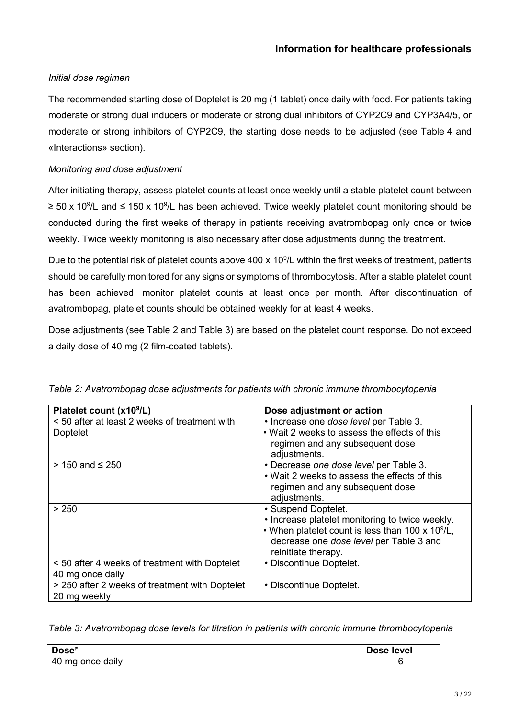# *Initial dose regimen*

The recommended starting dose of Doptelet is 20 mg (1 tablet) once daily with food. For patients taking moderate or strong dual inducers or moderate or strong dual inhibitors of CYP2C9 and CYP3A4/5, or moderate or strong inhibitors of CYP2C9, the starting dose needs to be adjusted (see Table 4 and «Interactions» section).

# *Monitoring and dose adjustment*

After initiating therapy, assess platelet counts at least once weekly until a stable platelet count between ≥ 50 x 10<sup>9</sup>/L and ≤ 150 x 10<sup>9</sup>/L has been achieved. Twice weekly platelet count monitoring should be conducted during the first weeks of therapy in patients receiving avatrombopag only once or twice weekly. Twice weekly monitoring is also necessary after dose adjustments during the treatment.

Due to the potential risk of platelet counts above 400 x 10<sup>9</sup>/L within the first weeks of treatment, patients should be carefully monitored for any signs or symptoms of thrombocytosis. After a stable platelet count has been achieved, monitor platelet counts at least once per month. After discontinuation of avatrombopag, platelet counts should be obtained weekly for at least 4 weeks.

Dose adjustments (see Table 2 and Table 3) are based on the platelet count response. Do not exceed a daily dose of 40 mg (2 film-coated tablets).

| Platelet count (x10 <sup>9</sup> /L)           | Dose adjustment or action                            |
|------------------------------------------------|------------------------------------------------------|
| < 50 after at least 2 weeks of treatment with  | • Increase one dose level per Table 3.               |
| <b>Doptelet</b>                                | . Wait 2 weeks to assess the effects of this         |
|                                                | regimen and any subsequent dose                      |
|                                                | adjustments.                                         |
| > 150 and ≤ 250                                | • Decrease one dose level per Table 3.               |
|                                                | • Wait 2 weeks to assess the effects of this         |
|                                                | regimen and any subsequent dose                      |
|                                                | adjustments.                                         |
| > 250                                          | • Suspend Doptelet.                                  |
|                                                | • Increase platelet monitoring to twice weekly.      |
|                                                | • When platelet count is less than 100 x 10 $^9$ /L, |
|                                                | decrease one dose level per Table 3 and              |
|                                                | reinitiate therapy.                                  |
| < 50 after 4 weeks of treatment with Doptelet  | • Discontinue Doptelet.                              |
| 40 mg once daily                               |                                                      |
| > 250 after 2 weeks of treatment with Doptelet | • Discontinue Doptelet.                              |
| 20 mg weekly                                   |                                                      |

*Table 2: Avatrombopag dose adjustments for patients with chronic immune thrombocytopenia*

*Table 3: Avatrombopag dose levels for titration in patients with chronic immune thrombocytopenia*

| Dose $\overline{z}$                       | level |
|-------------------------------------------|-------|
| $\mathbf{A}$<br>daily<br>ma<br>∩n∩≏<br>᠇៶ |       |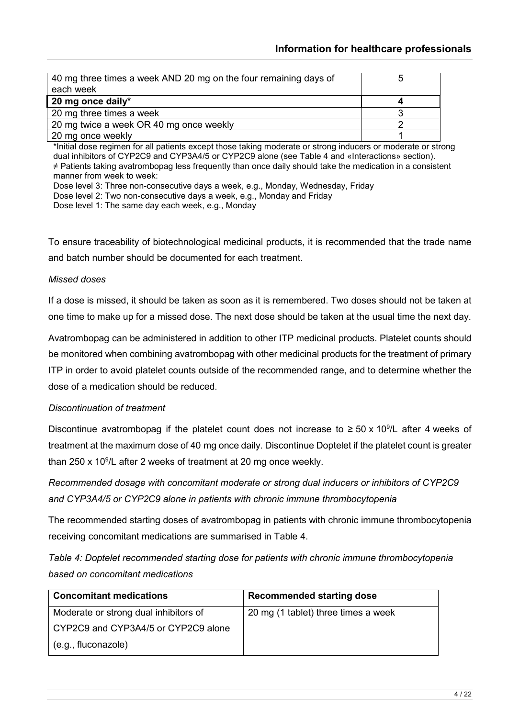| 40 mg three times a week AND 20 mg on the four remaining days of<br>each week |  |
|-------------------------------------------------------------------------------|--|
| 20 mg once daily*                                                             |  |
| 20 mg three times a week                                                      |  |
| 20 mg twice a week OR 40 mg once weekly                                       |  |
| 20 mg once weekly                                                             |  |

\*Initial dose regimen for all patients except those taking moderate or strong inducers or moderate or strong dual inhibitors of CYP2C9 and CYP3A4/5 or CYP2C9 alone (see Table 4 and «Interactions» section). ≠ Patients taking avatrombopag less frequently than once daily should take the medication in a consistent manner from week to week:

Dose level 3: Three non-consecutive days a week, e.g., Monday, Wednesday, Friday

Dose level 2: Two non-consecutive days a week, e.g., Monday and Friday

Dose level 1: The same day each week, e.g., Monday

To ensure traceability of biotechnological medicinal products, it is recommended that the trade name and batch number should be documented for each treatment.

## *Missed doses*

If a dose is missed, it should be taken as soon as it is remembered. Two doses should not be taken at one time to make up for a missed dose. The next dose should be taken at the usual time the next day.

Avatrombopag can be administered in addition to other ITP medicinal products. Platelet counts should be monitored when combining avatrombopag with other medicinal products for the treatment of primary ITP in order to avoid platelet counts outside of the recommended range, and to determine whether the dose of a medication should be reduced.

#### *Discontinuation of treatment*

Discontinue avatrombopag if the platelet count does not increase to  $\geq$  50 x 10<sup>9</sup>/L after 4 weeks of treatment at the maximum dose of 40 mg once daily. Discontinue Doptelet if the platelet count is greater than 250 x 10<sup>9</sup>/L after 2 weeks of treatment at 20 mg once weekly.

*Recommended dosage with concomitant moderate or strong dual inducers or inhibitors of CYP2C9 and CYP3A4/5 or CYP2C9 alone in patients with chronic immune thrombocytopenia*

The recommended starting doses of avatrombopag in patients with chronic immune thrombocytopenia receiving concomitant medications are summarised in Table 4.

*Table 4: Doptelet recommended starting dose for patients with chronic immune thrombocytopenia based on concomitant medications*

| <b>Concomitant medications</b>        | <b>Recommended starting dose</b>    |
|---------------------------------------|-------------------------------------|
| Moderate or strong dual inhibitors of | 20 mg (1 tablet) three times a week |
| CYP2C9 and CYP3A4/5 or CYP2C9 alone   |                                     |
| (e.g., fluconazole)                   |                                     |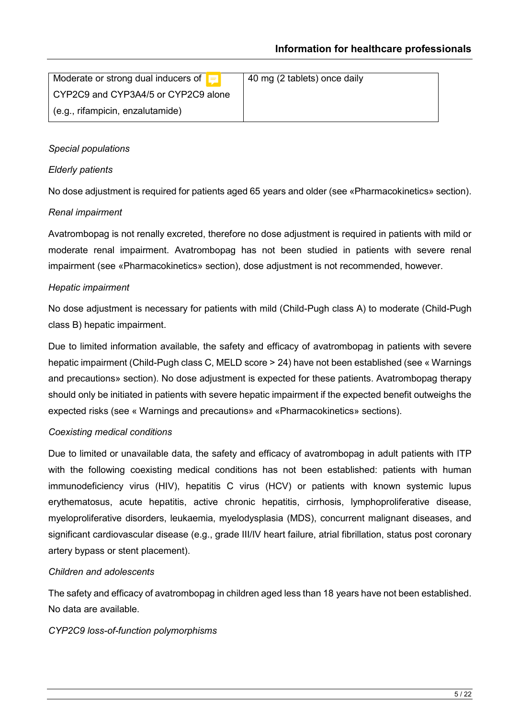| Moderate or strong dual inducers of $\boxed{=}$ | 40 mg (2 tablets) once daily |
|-------------------------------------------------|------------------------------|
| CYP2C9 and CYP3A4/5 or CYP2C9 alone             |                              |
| $\vert$ (e.g., rifampicin, enzalutamide)        |                              |

# *Special populations*

## *Elderly patients*

No dose adjustment is required for patients aged 65 years and older (see «Pharmacokinetics» section).

### *Renal impairment*

Avatrombopag is not renally excreted, therefore no dose adjustment is required in patients with mild or moderate renal impairment. Avatrombopag has not been studied in patients with severe renal impairment (see «Pharmacokinetics» section), dose adjustment is not recommended, however.

### *Hepatic impairment*

No dose adjustment is necessary for patients with mild (Child-Pugh class A) to moderate (Child-Pugh class B) hepatic impairment.

Due to limited information available, the safety and efficacy of avatrombopag in patients with severe hepatic impairment (Child-Pugh class C, MELD score > 24) have not been established (see « Warnings and precautions» section). No dose adjustment is expected for these patients. Avatrombopag therapy should only be initiated in patients with severe hepatic impairment if the expected benefit outweighs the expected risks (see « Warnings and precautions» and «Pharmacokinetics» sections).

# *Coexisting medical conditions*

Due to limited or unavailable data, the safety and efficacy of avatrombopag in adult patients with ITP with the following coexisting medical conditions has not been established: patients with human immunodeficiency virus (HIV), hepatitis C virus (HCV) or patients with known systemic lupus erythematosus, acute hepatitis, active chronic hepatitis, cirrhosis, lymphoproliferative disease, myeloproliferative disorders, leukaemia, myelodysplasia (MDS), concurrent malignant diseases, and significant cardiovascular disease (e.g., grade III/IV heart failure, atrial fibrillation, status post coronary artery bypass or stent placement).

# *Children and adolescents*

The safety and efficacy of avatrombopag in children aged less than 18 years have not been established. No data are available.

#### *CYP2C9 loss-of-function polymorphisms*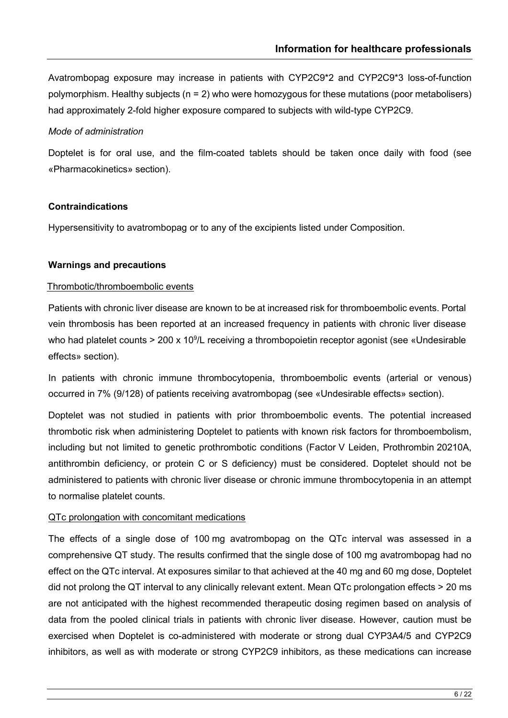Avatrombopag exposure may increase in patients with CYP2C9\*2 and CYP2C9\*3 loss-of-function polymorphism. Healthy subjects (n = 2) who were homozygous for these mutations (poor metabolisers) had approximately 2-fold higher exposure compared to subjects with wild-type CYP2C9.

### *Mode of administration*

Doptelet is for oral use, and the film-coated tablets should be taken once daily with food (see «Pharmacokinetics» section).

### **Contraindications**

Hypersensitivity to avatrombopag or to any of the excipients listed under Composition.

### **Warnings and precautions**

### Thrombotic/thromboembolic events

Patients with chronic liver disease are known to be at increased risk for thromboembolic events. Portal vein thrombosis has been reported at an increased frequency in patients with chronic liver disease who had platelet counts > 200 x 10<sup>9</sup>/L receiving a thrombopoietin receptor agonist (see «Undesirable effects» section).

In patients with chronic immune thrombocytopenia, thromboembolic events (arterial or venous) occurred in 7% (9/128) of patients receiving avatrombopag (see «Undesirable effects» section).

Doptelet was not studied in patients with prior thromboembolic events. The potential increased thrombotic risk when administering Doptelet to patients with known risk factors for thromboembolism, including but not limited to genetic prothrombotic conditions (Factor V Leiden, Prothrombin 20210A, antithrombin deficiency, or protein C or S deficiency) must be considered. Doptelet should not be administered to patients with chronic liver disease or chronic immune thrombocytopenia in an attempt to normalise platelet counts.

#### QTc prolongation with concomitant medications

The effects of a single dose of 100 mg avatrombopag on the QTc interval was assessed in a comprehensive QT study. The results confirmed that the single dose of 100 mg avatrombopag had no effect on the QTc interval. At exposures similar to that achieved at the 40 mg and 60 mg dose, Doptelet did not prolong the QT interval to any clinically relevant extent. Mean QTc prolongation effects > 20 ms are not anticipated with the highest recommended therapeutic dosing regimen based on analysis of data from the pooled clinical trials in patients with chronic liver disease. However, caution must be exercised when Doptelet is co-administered with moderate or strong dual CYP3A4/5 and CYP2C9 inhibitors, as well as with moderate or strong CYP2C9 inhibitors, as these medications can increase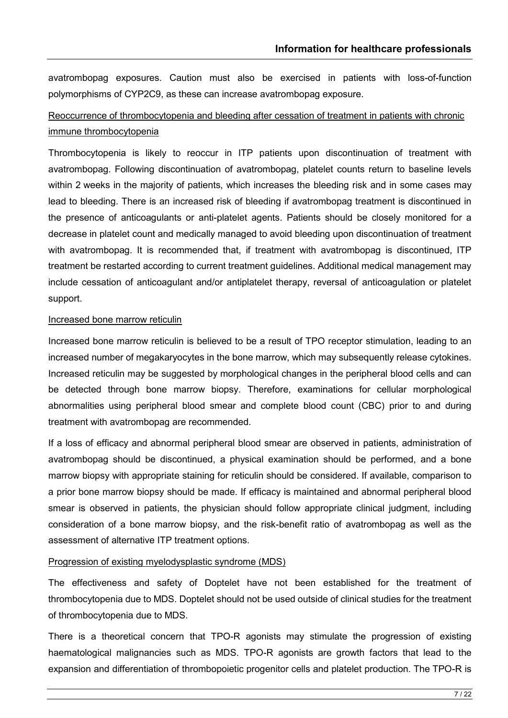avatrombopag exposures. Caution must also be exercised in patients with loss-of-function polymorphisms of CYP2C9, as these can increase avatrombopag exposure.

# Reoccurrence of thrombocytopenia and bleeding after cessation of treatment in patients with chronic immune thrombocytopenia

Thrombocytopenia is likely to reoccur in ITP patients upon discontinuation of treatment with avatrombopag. Following discontinuation of avatrombopag, platelet counts return to baseline levels within 2 weeks in the majority of patients, which increases the bleeding risk and in some cases may lead to bleeding. There is an increased risk of bleeding if avatrombopag treatment is discontinued in the presence of anticoagulants or anti-platelet agents. Patients should be closely monitored for a decrease in platelet count and medically managed to avoid bleeding upon discontinuation of treatment with avatrombopag. It is recommended that, if treatment with avatrombopag is discontinued, ITP treatment be restarted according to current treatment guidelines. Additional medical management may include cessation of anticoagulant and/or antiplatelet therapy, reversal of anticoagulation or platelet support.

#### Increased bone marrow reticulin

Increased bone marrow reticulin is believed to be a result of TPO receptor stimulation, leading to an increased number of megakaryocytes in the bone marrow, which may subsequently release cytokines. Increased reticulin may be suggested by morphological changes in the peripheral blood cells and can be detected through bone marrow biopsy. Therefore, examinations for cellular morphological abnormalities using peripheral blood smear and complete blood count (CBC) prior to and during treatment with avatrombopag are recommended.

If a loss of efficacy and abnormal peripheral blood smear are observed in patients, administration of avatrombopag should be discontinued, a physical examination should be performed, and a bone marrow biopsy with appropriate staining for reticulin should be considered. If available, comparison to a prior bone marrow biopsy should be made. If efficacy is maintained and abnormal peripheral blood smear is observed in patients, the physician should follow appropriate clinical judgment, including consideration of a bone marrow biopsy, and the risk-benefit ratio of avatrombopag as well as the assessment of alternative ITP treatment options.

#### Progression of existing myelodysplastic syndrome (MDS)

The effectiveness and safety of Doptelet have not been established for the treatment of thrombocytopenia due to MDS. Doptelet should not be used outside of clinical studies for the treatment of thrombocytopenia due to MDS.

There is a theoretical concern that TPO-R agonists may stimulate the progression of existing haematological malignancies such as MDS. TPO-R agonists are growth factors that lead to the expansion and differentiation of thrombopoietic progenitor cells and platelet production. The TPO-R is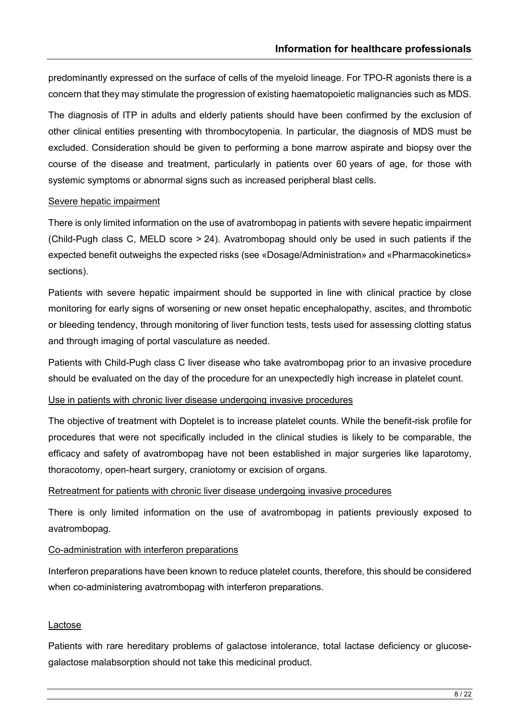predominantly expressed on the surface of cells of the myeloid lineage. For TPO-R agonists there is a concern that they may stimulate the progression of existing haematopoietic malignancies such as MDS.

The diagnosis of ITP in adults and elderly patients should have been confirmed by the exclusion of other clinical entities presenting with thrombocytopenia. In particular, the diagnosis of MDS must be excluded. Consideration should be given to performing a bone marrow aspirate and biopsy over the course of the disease and treatment, particularly in patients over 60 years of age, for those with systemic symptoms or abnormal signs such as increased peripheral blast cells.

#### Severe hepatic impairment

There is only limited information on the use of avatrombopag in patients with severe hepatic impairment (Child-Pugh class C, MELD score > 24). Avatrombopag should only be used in such patients if the expected benefit outweighs the expected risks (see «Dosage/Administration» and «Pharmacokinetics» sections).

Patients with severe hepatic impairment should be supported in line with clinical practice by close monitoring for early signs of worsening or new onset hepatic encephalopathy, ascites, and thrombotic or bleeding tendency, through monitoring of liver function tests, tests used for assessing clotting status and through imaging of portal vasculature as needed.

Patients with Child-Pugh class C liver disease who take avatrombopag prior to an invasive procedure should be evaluated on the day of the procedure for an unexpectedly high increase in platelet count.

#### Use in patients with chronic liver disease undergoing invasive procedures

The objective of treatment with Doptelet is to increase platelet counts. While the benefit-risk profile for procedures that were not specifically included in the clinical studies is likely to be comparable, the efficacy and safety of avatrombopag have not been established in major surgeries like laparotomy, thoracotomy, open-heart surgery, craniotomy or excision of organs.

#### Retreatment for patients with chronic liver disease undergoing invasive procedures

There is only limited information on the use of avatrombopag in patients previously exposed to avatrombopag.

#### Co-administration with interferon preparations

Interferon preparations have been known to reduce platelet counts, therefore, this should be considered when co-administering avatrombopag with interferon preparations.

#### Lactose

Patients with rare hereditary problems of galactose intolerance, total lactase deficiency or glucosegalactose malabsorption should not take this medicinal product.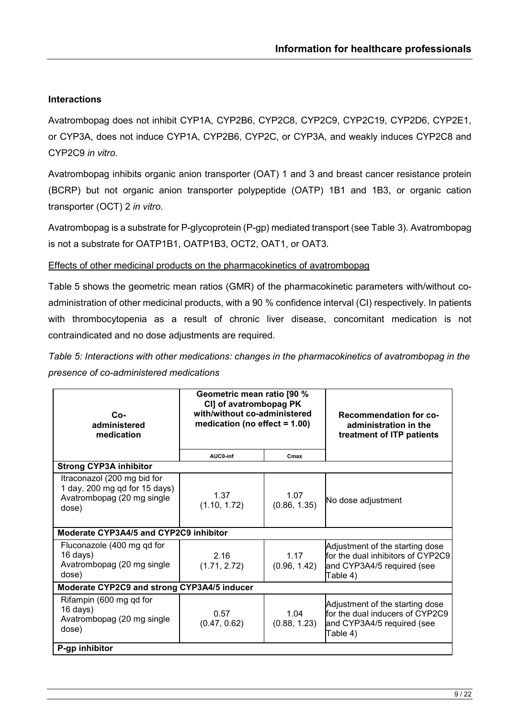## **Interactions**

Avatrombopag does not inhibit CYP1A, CYP2B6, CYP2C8, CYP2C9, CYP2C19, CYP2D6, CYP2E1, or CYP3A, does not induce CYP1A, CYP2B6, CYP2C, or CYP3A, and weakly induces CYP2C8 and CYP2C9 *in vitro*.

Avatrombopag inhibits organic anion transporter (OAT) 1 and 3 and breast cancer resistance protein (BCRP) but not organic anion transporter polypeptide (OATP) 1B1 and 1B3, or organic cation transporter (OCT) 2 *in vitro*.

Avatrombopag is a substrate for P-glycoprotein (P-gp) mediated transport (see Table 3). Avatrombopag is not a substrate for OATP1B1, OATP1B3, OCT2, OAT1, or OAT3.

#### Effects of other medicinal products on the pharmacokinetics of avatrombopag

Table 5 shows the geometric mean ratios (GMR) of the pharmacokinetic parameters with/without coadministration of other medicinal products, with a 90 % confidence interval (CI) respectively. In patients with thrombocytopenia as a result of chronic liver disease, concomitant medication is not contraindicated and no dose adjustments are required.

*Table 5: Interactions with other medications: changes in the pharmacokinetics of avatrombopag in the presence of co-administered medications*

| $Co-$<br>administered<br>medication                                                                 | Geometric mean ratio [90 %<br>CI] of avatrombopag PK<br>with/without co-administered<br>medication (no effect $= 1.00$ ) |                      | <b>Recommendation for co-</b><br>administration in the<br>treatment of ITP patients                            |  |
|-----------------------------------------------------------------------------------------------------|--------------------------------------------------------------------------------------------------------------------------|----------------------|----------------------------------------------------------------------------------------------------------------|--|
|                                                                                                     | AUC0-inf                                                                                                                 | Cmax                 |                                                                                                                |  |
| <b>Strong CYP3A inhibitor</b>                                                                       |                                                                                                                          |                      |                                                                                                                |  |
| Itraconazol (200 mg bid for<br>1 day, 200 mg qd for 15 days)<br>Avatrombopag (20 mg single<br>dose) | 1.37<br>(1.10, 1.72)                                                                                                     | 1.07<br>(0.86, 1.35) | No dose adjustment                                                                                             |  |
| Moderate CYP3A4/5 and CYP2C9 inhibitor                                                              |                                                                                                                          |                      |                                                                                                                |  |
| Fluconazole (400 mg qd for<br>$16 \text{ days}$<br>Avatrombopag (20 mg single<br>dose)              | 2.16<br>(1.71, 2.72)                                                                                                     | 1.17<br>(0.96, 1.42) | Adjustment of the starting dose<br>for the dual inhibitors of CYP2C9<br>and CYP3A4/5 required (see<br>Table 4) |  |
| Moderate CYP2C9 and strong CYP3A4/5 inducer                                                         |                                                                                                                          |                      |                                                                                                                |  |
| Rifampin (600 mg qd for<br>$16 \text{ days}$<br>Avatrombopag (20 mg single<br>dose)                 | 0.57<br>(0.47, 0.62)                                                                                                     | 1.04<br>(0.88, 1.23) | Adjustment of the starting dose<br>for the dual inducers of CYP2C9<br>and CYP3A4/5 required (see<br>Table 4)   |  |
| P-gp inhibitor                                                                                      |                                                                                                                          |                      |                                                                                                                |  |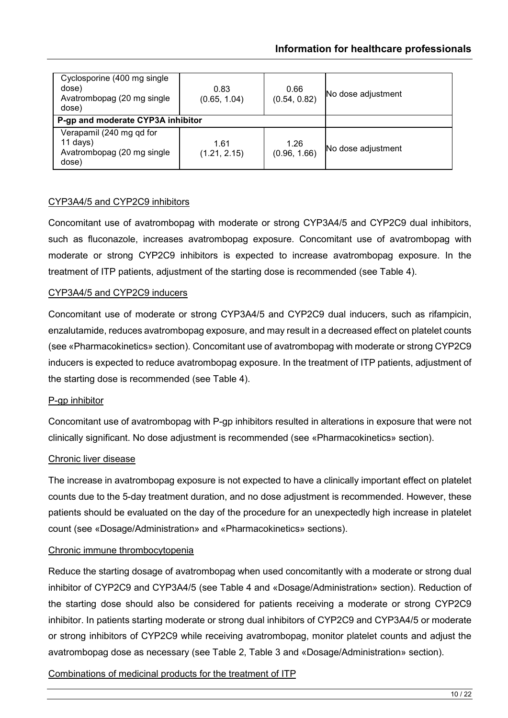| Cyclosporine (400 mg single)<br>dose)<br>Avatrombopag (20 mg single<br>dose)  | 0.83<br>(0.65, 1.04) | 0.66<br>(0.54, 0.82) | No dose adjustment |
|-------------------------------------------------------------------------------|----------------------|----------------------|--------------------|
| P-gp and moderate CYP3A inhibitor                                             |                      |                      |                    |
| Verapamil (240 mg qd for<br>$11$ days)<br>Avatrombopag (20 mg single<br>dose) | 1.61<br>(1.21, 2.15) | 1.26<br>(0.96, 1.66) | No dose adjustment |

### CYP3A4/5 and CYP2C9 inhibitors

Concomitant use of avatrombopag with moderate or strong CYP3A4/5 and CYP2C9 dual inhibitors, such as fluconazole, increases avatrombopag exposure. Concomitant use of avatrombopag with moderate or strong CYP2C9 inhibitors is expected to increase avatrombopag exposure. In the treatment of ITP patients, adjustment of the starting dose is recommended (see Table 4).

### CYP3A4/5 and CYP2C9 inducers

Concomitant use of moderate or strong CYP3A4/5 and CYP2C9 dual inducers, such as rifampicin, enzalutamide, reduces avatrombopag exposure, and may result in a decreased effect on platelet counts (see «Pharmacokinetics» section). Concomitant use of avatrombopag with moderate or strong CYP2C9 inducers is expected to reduce avatrombopag exposure. In the treatment of ITP patients, adjustment of the starting dose is recommended (see Table 4).

#### P-ap inhibitor

Concomitant use of avatrombopag with P-gp inhibitors resulted in alterations in exposure that were not clinically significant. No dose adjustment is recommended (see «Pharmacokinetics» section).

#### Chronic liver disease

The increase in avatrombopag exposure is not expected to have a clinically important effect on platelet counts due to the 5-day treatment duration, and no dose adjustment is recommended. However, these patients should be evaluated on the day of the procedure for an unexpectedly high increase in platelet count (see «Dosage/Administration» and «Pharmacokinetics» sections).

#### Chronic immune thrombocytopenia

Reduce the starting dosage of avatrombopag when used concomitantly with a moderate or strong dual inhibitor of CYP2C9 and CYP3A4/5 (see Table 4 and «Dosage/Administration» section). Reduction of the starting dose should also be considered for patients receiving a moderate or strong CYP2C9 inhibitor. In patients starting moderate or strong dual inhibitors of CYP2C9 and CYP3A4/5 or moderate or strong inhibitors of CYP2C9 while receiving avatrombopag, monitor platelet counts and adjust the avatrombopag dose as necessary (see Table 2, Table 3 and «Dosage/Administration» section).

# Combinations of medicinal products for the treatment of ITP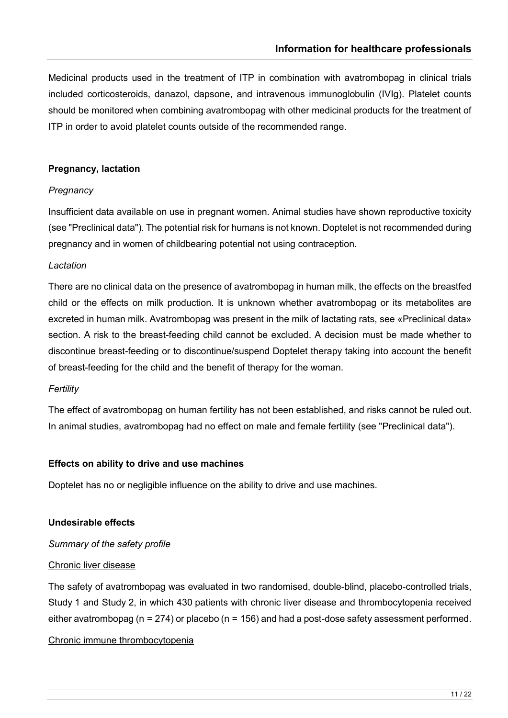Medicinal products used in the treatment of ITP in combination with avatrombopag in clinical trials included corticosteroids, danazol, dapsone, and intravenous immunoglobulin (IVIg). Platelet counts should be monitored when combining avatrombopag with other medicinal products for the treatment of ITP in order to avoid platelet counts outside of the recommended range.

### **Pregnancy, lactation**

### *Pregnancy*

Insufficient data available on use in pregnant women. Animal studies have shown reproductive toxicity (see "Preclinical data"). The potential risk for humans is not known. Doptelet is not recommended during pregnancy and in women of childbearing potential not using contraception.

### *Lactation*

There are no clinical data on the presence of avatrombopag in human milk, the effects on the breastfed child or the effects on milk production. It is unknown whether avatrombopag or its metabolites are excreted in human milk. Avatrombopag was present in the milk of lactating rats, see «Preclinical data» section. A risk to the breast-feeding child cannot be excluded. A decision must be made whether to discontinue breast-feeding or to discontinue/suspend Doptelet therapy taking into account the benefit of breast-feeding for the child and the benefit of therapy for the woman.

#### *Fertility*

The effect of avatrombopag on human fertility has not been established, and risks cannot be ruled out. In animal studies, avatrombopag had no effect on male and female fertility (see "Preclinical data").

#### **Effects on ability to drive and use machines**

Doptelet has no or negligible influence on the ability to drive and use machines.

#### **Undesirable effects**

# *Summary of the safety profile*

#### Chronic liver disease

The safety of avatrombopag was evaluated in two randomised, double-blind, placebo-controlled trials, Study 1 and Study 2, in which 430 patients with chronic liver disease and thrombocytopenia received either avatrombopag ( $n = 274$ ) or placebo ( $n = 156$ ) and had a post-dose safety assessment performed.

# Chronic immune thrombocytopenia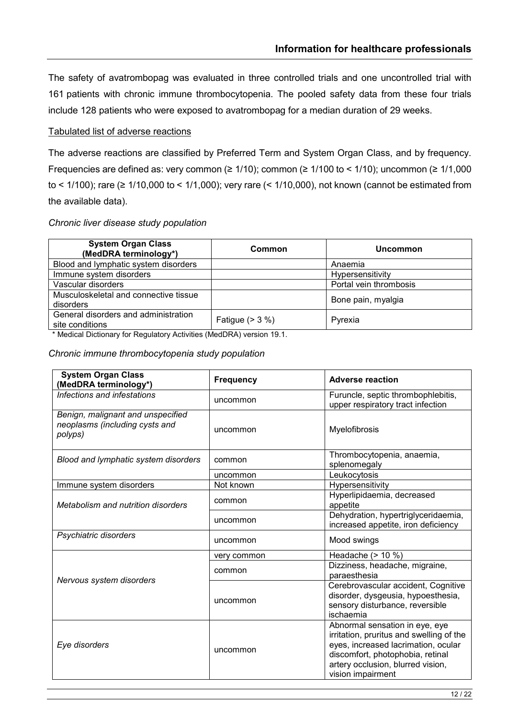The safety of avatrombopag was evaluated in three controlled trials and one uncontrolled trial with 161 patients with chronic immune thrombocytopenia. The pooled safety data from these four trials include 128 patients who were exposed to avatrombopag for a median duration of 29 weeks.

#### Tabulated list of adverse reactions

The adverse reactions are classified by Preferred Term and System Organ Class, and by frequency. Frequencies are defined as: very common ( $\geq 1/10$ ); common ( $\geq 1/100$  to < 1/10); uncommon ( $\geq 1/1,000$ to < 1/100); rare (≥ 1/10,000 to < 1/1,000); very rare (< 1/10,000), not known (cannot be estimated from the available data).

#### *Chronic liver disease study population*

| <b>System Organ Class</b><br>(MedDRA terminology*)      | Common            | <b>Uncommon</b>        |
|---------------------------------------------------------|-------------------|------------------------|
| Blood and lymphatic system disorders                    |                   | Anaemia                |
| Immune system disorders                                 |                   | Hypersensitivity       |
| Vascular disorders                                      |                   | Portal vein thrombosis |
| Musculoskeletal and connective tissue<br>disorders      |                   | Bone pain, myalgia     |
| General disorders and administration<br>site conditions | Fatigue $(> 3 %)$ | Pyrexia                |

\* Medical Dictionary for Regulatory Activities (MedDRA) version 19.1.

### *Chronic immune thrombocytopenia study population*

| <b>System Organ Class</b><br>(MedDRA terminology*)                             | <b>Frequency</b> | <b>Adverse reaction</b>                                                                                                                                                                                         |
|--------------------------------------------------------------------------------|------------------|-----------------------------------------------------------------------------------------------------------------------------------------------------------------------------------------------------------------|
| Infections and infestations                                                    | uncommon         | Furuncle, septic thrombophlebitis,<br>upper respiratory tract infection                                                                                                                                         |
| Benign, malignant and unspecified<br>neoplasms (including cysts and<br>polyps) | uncommon         | Myelofibrosis                                                                                                                                                                                                   |
| Blood and lymphatic system disorders                                           | common           | Thrombocytopenia, anaemia,<br>splenomegaly                                                                                                                                                                      |
|                                                                                | uncommon         | Leukocytosis                                                                                                                                                                                                    |
| Immune system disorders                                                        | Not known        | Hypersensitivity                                                                                                                                                                                                |
| Metabolism and nutrition disorders                                             | common           | Hyperlipidaemia, decreased<br>appetite                                                                                                                                                                          |
|                                                                                | uncommon         | Dehydration, hypertriglyceridaemia,<br>increased appetite, iron deficiency                                                                                                                                      |
| Psychiatric disorders                                                          | uncommon         | Mood swings                                                                                                                                                                                                     |
| Nervous system disorders                                                       | very common      | Headache $(> 10 %$                                                                                                                                                                                              |
|                                                                                | common           | Dizziness, headache, migraine,<br>paraesthesia                                                                                                                                                                  |
|                                                                                | uncommon         | Cerebrovascular accident, Cognitive<br>disorder, dysgeusia, hypoesthesia,<br>sensory disturbance, reversible<br>ischaemia                                                                                       |
| Eye disorders                                                                  | uncommon         | Abnormal sensation in eye, eye<br>irritation, pruritus and swelling of the<br>eyes, increased lacrimation, ocular<br>discomfort, photophobia, retinal<br>artery occlusion, blurred vision,<br>vision impairment |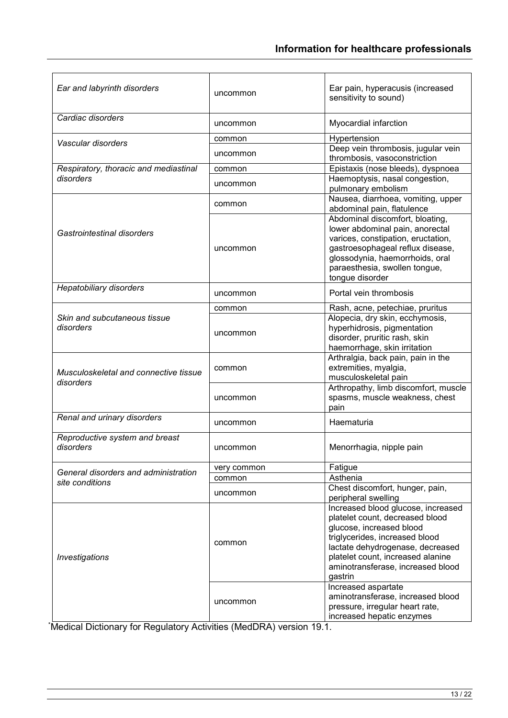| Ear and labyrinth disorders                             | uncommon    | Ear pain, hyperacusis (increased<br>sensitivity to sound)                                                                                                                                                                                                    |
|---------------------------------------------------------|-------------|--------------------------------------------------------------------------------------------------------------------------------------------------------------------------------------------------------------------------------------------------------------|
| Cardiac disorders                                       | uncommon    | Myocardial infarction                                                                                                                                                                                                                                        |
|                                                         | common      | Hypertension                                                                                                                                                                                                                                                 |
| Vascular disorders                                      | uncommon    | Deep vein thrombosis, jugular vein<br>thrombosis, vasoconstriction                                                                                                                                                                                           |
| Respiratory, thoracic and mediastinal<br>disorders      | common      | Epistaxis (nose bleeds), dyspnoea                                                                                                                                                                                                                            |
|                                                         | uncommon    | Haemoptysis, nasal congestion,<br>pulmonary embolism                                                                                                                                                                                                         |
| Gastrointestinal disorders                              | common      | Nausea, diarrhoea, vomiting, upper<br>abdominal pain, flatulence                                                                                                                                                                                             |
|                                                         | uncommon    | Abdominal discomfort, bloating,<br>lower abdominal pain, anorectal<br>varices, constipation, eructation,<br>gastroesophageal reflux disease,<br>glossodynia, haemorrhoids, oral<br>paraesthesia, swollen tongue,<br>tongue disorder                          |
| Hepatobiliary disorders                                 | uncommon    | Portal vein thrombosis                                                                                                                                                                                                                                       |
|                                                         | common      | Rash, acne, petechiae, pruritus                                                                                                                                                                                                                              |
| Skin and subcutaneous tissue<br>disorders               | uncommon    | Alopecia, dry skin, ecchymosis,<br>hyperhidrosis, pigmentation<br>disorder, pruritic rash, skin<br>haemorrhage, skin irritation                                                                                                                              |
| Musculoskeletal and connective tissue<br>disorders      | common      | Arthralgia, back pain, pain in the<br>extremities, myalgia,<br>musculoskeletal pain                                                                                                                                                                          |
|                                                         | uncommon    | Arthropathy, limb discomfort, muscle<br>spasms, muscle weakness, chest<br>pain                                                                                                                                                                               |
| Renal and urinary disorders                             | uncommon    | Haematuria                                                                                                                                                                                                                                                   |
| Reproductive system and breast<br>disorders             | uncommon    | Menorrhagia, nipple pain                                                                                                                                                                                                                                     |
| General disorders and administration<br>site conditions | very common | Fatigue                                                                                                                                                                                                                                                      |
|                                                         | common      | Asthenia                                                                                                                                                                                                                                                     |
|                                                         | uncommon    | Chest discomfort, hunger, pain,<br>peripheral swelling                                                                                                                                                                                                       |
| Investigations                                          | common      | Increased blood glucose, increased<br>platelet count, decreased blood<br>glucose, increased blood<br>triglycerides, increased blood<br>lactate dehydrogenase, decreased<br>platelet count, increased alanine<br>aminotransferase, increased blood<br>gastrin |
|                                                         | uncommon    | Increased aspartate<br>aminotransferase, increased blood<br>pressure, irregular heart rate,<br>increased hepatic enzymes                                                                                                                                     |

\* Medical Dictionary for Regulatory Activities (MedDRA) version 19.1.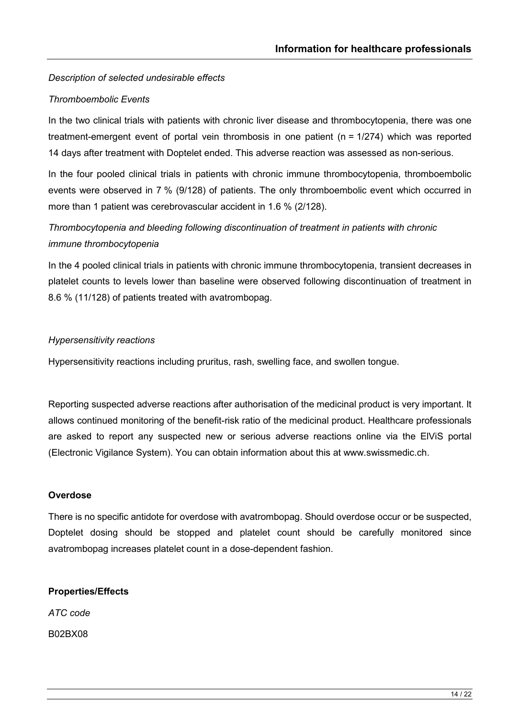# *Description of selected undesirable effects*

### *Thromboembolic Events*

In the two clinical trials with patients with chronic liver disease and thrombocytopenia, there was one treatment-emergent event of portal vein thrombosis in one patient (n = 1/274) which was reported 14 days after treatment with Doptelet ended. This adverse reaction was assessed as non-serious.

In the four pooled clinical trials in patients with chronic immune thrombocytopenia, thromboembolic events were observed in 7 % (9/128) of patients. The only thromboembolic event which occurred in more than 1 patient was cerebrovascular accident in 1.6 % (2/128).

# *Thrombocytopenia and bleeding following discontinuation of treatment in patients with chronic immune thrombocytopenia*

In the 4 pooled clinical trials in patients with chronic immune thrombocytopenia, transient decreases in platelet counts to levels lower than baseline were observed following discontinuation of treatment in 8.6 % (11/128) of patients treated with avatrombopag.

#### *Hypersensitivity reactions*

Hypersensitivity reactions including pruritus, rash, swelling face, and swollen tongue.

Reporting suspected adverse reactions after authorisation of the medicinal product is very important. It allows continued monitoring of the benefit-risk ratio of the medicinal product. Healthcare professionals are asked to report any suspected new or serious adverse reactions online via the ElViS portal (Electronic Vigilance System). You can obtain information about this at www.swissmedic.ch.

#### **Overdose**

There is no specific antidote for overdose with avatrombopag. Should overdose occur or be suspected, Doptelet dosing should be stopped and platelet count should be carefully monitored since avatrombopag increases platelet count in a dose-dependent fashion.

#### **Properties/Effects**

*ATC code*

B02BX08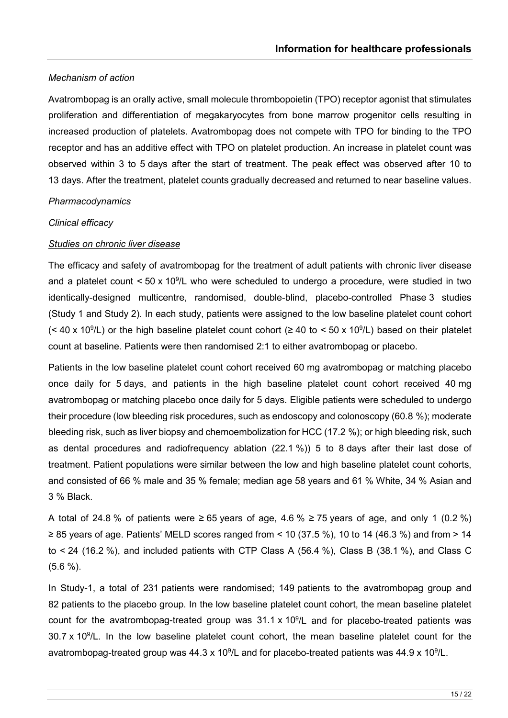## *Mechanism of action*

Avatrombopag is an orally active, small molecule thrombopoietin (TPO) receptor agonist that stimulates proliferation and differentiation of megakaryocytes from bone marrow progenitor cells resulting in increased production of platelets. Avatrombopag does not compete with TPO for binding to the TPO receptor and has an additive effect with TPO on platelet production. An increase in platelet count was observed within 3 to 5 days after the start of treatment. The peak effect was observed after 10 to 13 days. After the treatment, platelet counts gradually decreased and returned to near baseline values.

#### *Pharmacodynamics*

#### *Clinical efficacy*

#### *Studies on chronic liver disease*

The efficacy and safety of avatrombopag for the treatment of adult patients with chronic liver disease and a platelet count  $<$  50 x 10<sup>9</sup>/L who were scheduled to undergo a procedure, were studied in two identically-designed multicentre, randomised, double-blind, placebo-controlled Phase 3 studies (Study 1 and Study 2). In each study, patients were assigned to the low baseline platelet count cohort (< 40 x 10<sup>9</sup>/L) or the high baseline platelet count cohort ( $\geq$  40 to < 50 x 10<sup>9</sup>/L) based on their platelet count at baseline. Patients were then randomised 2:1 to either avatrombopag or placebo.

Patients in the low baseline platelet count cohort received 60 mg avatrombopag or matching placebo once daily for 5 days, and patients in the high baseline platelet count cohort received 40 mg avatrombopag or matching placebo once daily for 5 days. Eligible patients were scheduled to undergo their procedure (low bleeding risk procedures, such as endoscopy and colonoscopy (60.8 %); moderate bleeding risk, such as liver biopsy and chemoembolization for HCC (17.2 %); or high bleeding risk, such as dental procedures and radiofrequency ablation (22.1 %)) 5 to 8 days after their last dose of treatment. Patient populations were similar between the low and high baseline platelet count cohorts, and consisted of 66 % male and 35 % female; median age 58 years and 61 % White, 34 % Asian and 3 % Black.

A total of 24.8 % of patients were ≥ 65 years of age, 4.6 % ≥ 75 years of age, and only 1 (0.2 %) ≥ 85 years of age. Patients' MELD scores ranged from < 10 (37.5 %), 10 to 14 (46.3 %) and from > 14 to  $\leq$  24 (16.2 %), and included patients with CTP Class A (56.4 %), Class B (38.1 %), and Class C (5.6 %).

In Study-1, a total of 231 patients were randomised; 149 patients to the avatrombopag group and 82 patients to the placebo group. In the low baseline platelet count cohort, the mean baseline platelet count for the avatrombopag-treated group was 31.1 x 10<sup>9</sup>/L and for placebo-treated patients was 30.7 x 10 $^9$ /L. In the low baseline platelet count cohort, the mean baseline platelet count for the avatrombopag-treated group was 44.3 x 10<sup>9</sup>/L and for placebo-treated patients was 44.9 x 10<sup>9</sup>/L.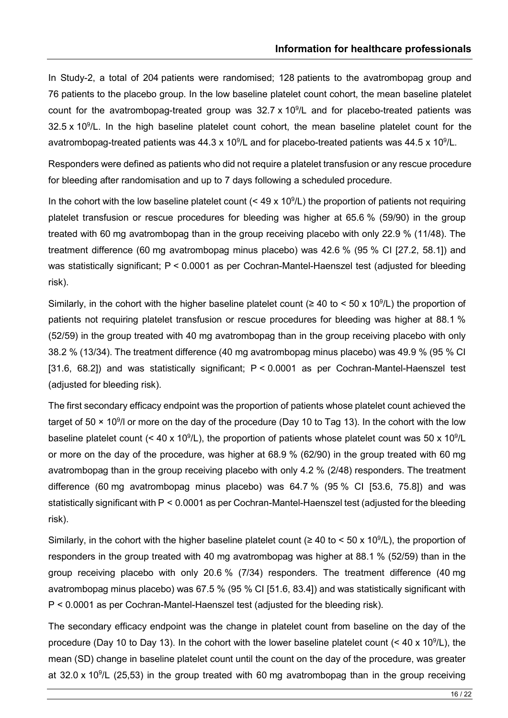In Study-2, a total of 204 patients were randomised; 128 patients to the avatrombopag group and 76 patients to the placebo group. In the low baseline platelet count cohort, the mean baseline platelet count for the avatrombopag-treated group was  $32.7 \times 10^9$ /L and for placebo-treated patients was  $32.5 \times 10^9$ /L. In the high baseline platelet count cohort, the mean baseline platelet count for the avatrombopag-treated patients was 44.3 x 10<sup>9</sup>/L and for placebo-treated patients was 44.5 x 10<sup>9</sup>/L.

Responders were defined as patients who did not require a platelet transfusion or any rescue procedure for bleeding after randomisation and up to 7 days following a scheduled procedure.

In the cohort with the low baseline platelet count ( $\leq 49 \times 10^9$ /L) the proportion of patients not requiring platelet transfusion or rescue procedures for bleeding was higher at 65.6 % (59/90) in the group treated with 60 mg avatrombopag than in the group receiving placebo with only 22.9 % (11/48). The treatment difference (60 mg avatrombopag minus placebo) was 42.6 % (95 % CI [27.2, 58.1]) and was statistically significant; P < 0.0001 as per Cochran-Mantel-Haenszel test (adjusted for bleeding risk).

Similarly, in the cohort with the higher baseline platelet count ( $\geq 40$  to < 50 x 10<sup>9</sup>/L) the proportion of patients not requiring platelet transfusion or rescue procedures for bleeding was higher at 88.1 % (52/59) in the group treated with 40 mg avatrombopag than in the group receiving placebo with only 38.2 % (13/34). The treatment difference (40 mg avatrombopag minus placebo) was 49.9 % (95 % CI [31.6, 68.2]) and was statistically significant; P < 0.0001 as per Cochran-Mantel-Haenszel test (adjusted for bleeding risk).

The first secondary efficacy endpoint was the proportion of patients whose platelet count achieved the target of 50  $\times$  10<sup>9</sup>/l or more on the day of the procedure (Day 10 to Tag 13). In the cohort with the low baseline platelet count (< 40 x 10<sup>9</sup>/L), the proportion of patients whose platelet count was 50 x 10<sup>9</sup>/L or more on the day of the procedure, was higher at 68.9 % (62/90) in the group treated with 60 mg avatrombopag than in the group receiving placebo with only 4.2 % (2/48) responders. The treatment difference (60 mg avatrombopag minus placebo) was 64.7 % (95 % CI [53.6, 75.8]) and was statistically significant with P < 0.0001 as per Cochran-Mantel-Haenszel test (adjusted for the bleeding risk).

Similarly, in the cohort with the higher baseline platelet count ( $\geq 40$  to < 50 x 10<sup>9</sup>/L), the proportion of responders in the group treated with 40 mg avatrombopag was higher at 88.1 % (52/59) than in the group receiving placebo with only 20.6 % (7/34) responders. The treatment difference (40 mg avatrombopag minus placebo) was 67.5 % (95 % CI [51.6, 83.4]) and was statistically significant with P < 0.0001 as per Cochran-Mantel-Haenszel test (adjusted for the bleeding risk).

The secondary efficacy endpoint was the change in platelet count from baseline on the day of the procedure (Day 10 to Day 13). In the cohort with the lower baseline platelet count (< 40 x 10<sup>9</sup>/L), the mean (SD) change in baseline platelet count until the count on the day of the procedure, was greater at 32.0 x 10 $^9$ /L (25,53) in the group treated with 60 mg avatrombopag than in the group receiving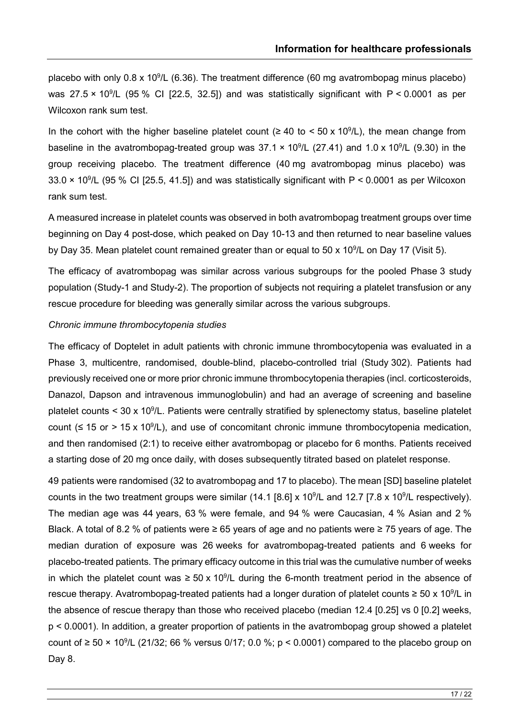placebo with only 0.8 x 10<sup>9</sup>/L (6.36). The treatment difference (60 mg avatrombopag minus placebo) was 27.5  $\times$  10<sup>9</sup>/L (95 % CI [22.5, 32.5]) and was statistically significant with P < 0.0001 as per Wilcoxon rank sum test.

In the cohort with the higher baseline platelet count ( $\geq 40$  to < 50 x 10<sup>9</sup>/L), the mean change from baseline in the avatrombopag-treated group was  $37.1 \times 10^9$ /L (27.41) and 1.0 x 10<sup>9</sup>/L (9.30) in the group receiving placebo. The treatment difference (40 mg avatrombopag minus placebo) was 33.0  $\times$  10<sup>9</sup>/L (95 % CI [25.5, 41.5]) and was statistically significant with P < 0.0001 as per Wilcoxon rank sum test.

A measured increase in platelet counts was observed in both avatrombopag treatment groups over time beginning on Day 4 post-dose, which peaked on Day 10-13 and then returned to near baseline values by Day 35. Mean platelet count remained greater than or equal to 50 x 10<sup>9</sup>/L on Day 17 (Visit 5).

The efficacy of avatrombopag was similar across various subgroups for the pooled Phase 3 study population (Study-1 and Study-2). The proportion of subjects not requiring a platelet transfusion or any rescue procedure for bleeding was generally similar across the various subgroups.

#### *Chronic immune thrombocytopenia studies*

The efficacy of Doptelet in adult patients with chronic immune thrombocytopenia was evaluated in a Phase 3, multicentre, randomised, double-blind, placebo-controlled trial (Study 302). Patients had previously received one or more prior chronic immune thrombocytopenia therapies (incl. corticosteroids, Danazol, Dapson and intravenous immunoglobulin) and had an average of screening and baseline platelet counts < 30 x 10<sup>9</sup>/L. Patients were centrally stratified by splenectomy status, baseline platelet count ( $\leq$  15 or > 15 x 10<sup>9</sup>/L), and use of concomitant chronic immune thrombocytopenia medication, and then randomised (2:1) to receive either avatrombopag or placebo for 6 months. Patients received a starting dose of 20 mg once daily, with doses subsequently titrated based on platelet response.

49 patients were randomised (32 to avatrombopag and 17 to placebo). The mean [SD] baseline platelet counts in the two treatment groups were similar (14.1 [8.6] x 10<sup>9</sup>/L and 12.7 [7.8 x 10<sup>9</sup>/L respectively). The median age was 44 years, 63 % were female, and 94 % were Caucasian, 4 % Asian and 2 % Black. A total of 8.2 % of patients were ≥ 65 years of age and no patients were ≥ 75 years of age. The median duration of exposure was 26 weeks for avatrombopag-treated patients and 6 weeks for placebo-treated patients. The primary efficacy outcome in this trial was the cumulative number of weeks in which the platelet count was  $\geq 50 \times 10^9$ /L during the 6-month treatment period in the absence of rescue therapy. Avatrombopag-treated patients had a longer duration of platelet counts  $\geq 50 \times 10^9$ /L in the absence of rescue therapy than those who received placebo (median 12.4 [0.25] vs 0 [0.2] weeks, p < 0.0001). In addition, a greater proportion of patients in the avatrombopag group showed a platelet count of ≥ 50 × 10<sup>9</sup>/L (21/32; 66 % versus 0/17; 0.0 %; p < 0.0001) compared to the placebo group on Day 8.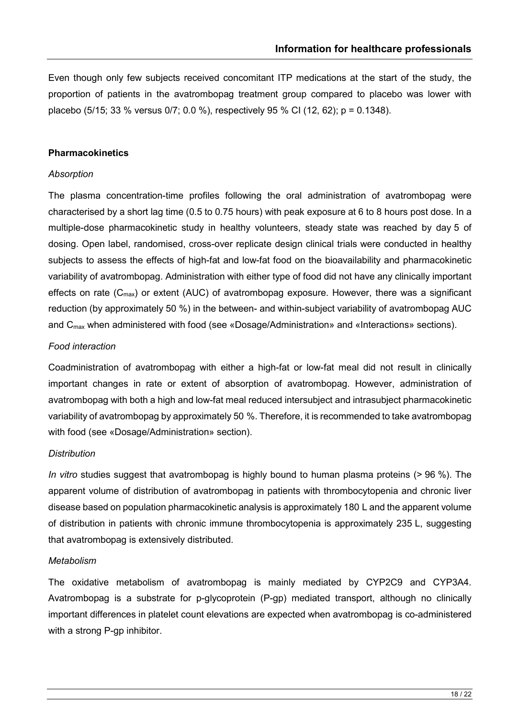Even though only few subjects received concomitant ITP medications at the start of the study, the proportion of patients in the avatrombopag treatment group compared to placebo was lower with placebo (5/15; 33 % versus 0/7; 0.0 %), respectively 95 % CI (12, 62); p = 0.1348).

#### **Pharmacokinetics**

#### *Absorption*

The plasma concentration-time profiles following the oral administration of avatrombopag were characterised by a short lag time (0.5 to 0.75 hours) with peak exposure at 6 to 8 hours post dose. In a multiple-dose pharmacokinetic study in healthy volunteers, steady state was reached by day 5 of dosing. Open label, randomised, cross-over replicate design clinical trials were conducted in healthy subjects to assess the effects of high-fat and low-fat food on the bioavailability and pharmacokinetic variability of avatrombopag. Administration with either type of food did not have any clinically important effects on rate  $(C_{max})$  or extent (AUC) of avatrombopag exposure. However, there was a significant reduction (by approximately 50 %) in the between- and within-subject variability of avatrombopag AUC and C<sub>max</sub> when administered with food (see «Dosage/Administration» and «Interactions» sections).

# *Food interaction*

Coadministration of avatrombopag with either a high-fat or low-fat meal did not result in clinically important changes in rate or extent of absorption of avatrombopag. However, administration of avatrombopag with both a high and low-fat meal reduced intersubject and intrasubject pharmacokinetic variability of avatrombopag by approximately 50 %. Therefore, it is recommended to take avatrombopag with food (see «Dosage/Administration» section).

# *Distribution*

*In vitro* studies suggest that avatrombopag is highly bound to human plasma proteins (> 96 %). The apparent volume of distribution of avatrombopag in patients with thrombocytopenia and chronic liver disease based on population pharmacokinetic analysis is approximately 180 L and the apparent volume of distribution in patients with chronic immune thrombocytopenia is approximately 235 L, suggesting that avatrombopag is extensively distributed.

#### *Metabolism*

The oxidative metabolism of avatrombopag is mainly mediated by CYP2C9 and CYP3A4. Avatrombopag is a substrate for p-glycoprotein (P-gp) mediated transport, although no clinically important differences in platelet count elevations are expected when avatrombopag is co-administered with a strong P-gp inhibitor.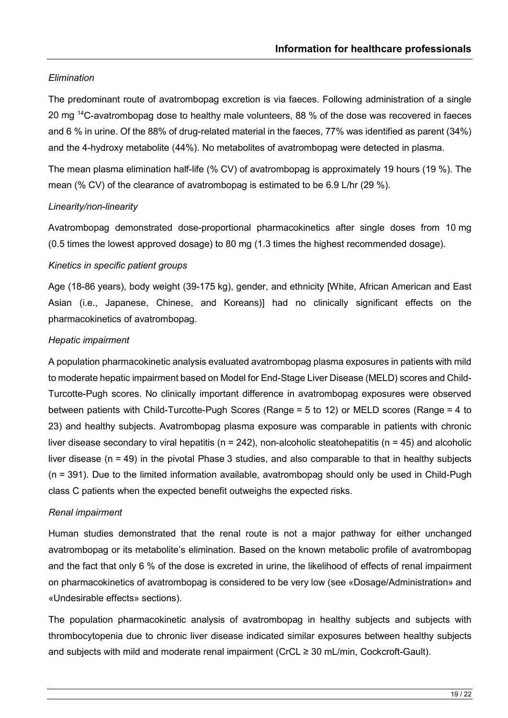# *Elimination*

The predominant route of avatrombopag excretion is via faeces. Following administration of a single 20 mg 14C-avatrombopag dose to healthy male volunteers, 88 % of the dose was recovered in faeces and 6 % in urine. Of the 88% of drug-related material in the faeces, 77% was identified as parent (34%) and the 4-hydroxy metabolite (44%). No metabolites of avatrombopag were detected in plasma.

The mean plasma elimination half-life (% CV) of avatrombopag is approximately 19 hours (19 %). The mean (% CV) of the clearance of avatrombopag is estimated to be 6.9 L/hr (29 %).

#### *Linearity/non-linearity*

Avatrombopag demonstrated dose-proportional pharmacokinetics after single doses from 10 mg (0.5 times the lowest approved dosage) to 80 mg (1.3 times the highest recommended dosage).

#### *Kinetics in specific patient groups*

Age (18-86 years), body weight (39-175 kg), gender, and ethnicity [White, African American and East Asian (i.e., Japanese, Chinese, and Koreans)] had no clinically significant effects on the pharmacokinetics of avatrombopag.

#### *Hepatic impairment*

A population pharmacokinetic analysis evaluated avatrombopag plasma exposures in patients with mild to moderate hepatic impairment based on Model for End-Stage Liver Disease (MELD) scores and Child-Turcotte-Pugh scores. No clinically important difference in avatrombopag exposures were observed between patients with Child-Turcotte-Pugh Scores (Range = 5 to 12) or MELD scores (Range = 4 to 23) and healthy subjects. Avatrombopag plasma exposure was comparable in patients with chronic liver disease secondary to viral hepatitis ( $n = 242$ ), non-alcoholic steatohepatitis ( $n = 45$ ) and alcoholic liver disease (n = 49) in the pivotal Phase 3 studies, and also comparable to that in healthy subjects (n = 391). Due to the limited information available, avatrombopag should only be used in Child-Pugh class C patients when the expected benefit outweighs the expected risks.

#### *Renal impairment*

Human studies demonstrated that the renal route is not a major pathway for either unchanged avatrombopag or its metabolite's elimination. Based on the known metabolic profile of avatrombopag and the fact that only 6 % of the dose is excreted in urine, the likelihood of effects of renal impairment on pharmacokinetics of avatrombopag is considered to be very low (see «Dosage/Administration» and «Undesirable effects» sections).

The population pharmacokinetic analysis of avatrombopag in healthy subjects and subjects with thrombocytopenia due to chronic liver disease indicated similar exposures between healthy subjects and subjects with mild and moderate renal impairment (CrCL ≥ 30 mL/min, Cockcroft-Gault).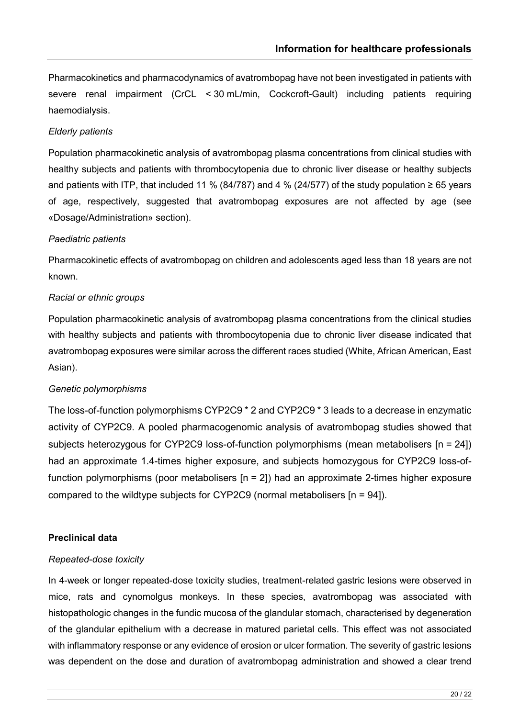Pharmacokinetics and pharmacodynamics of avatrombopag have not been investigated in patients with severe renal impairment (CrCL < 30 mL/min, Cockcroft-Gault) including patients requiring haemodialysis.

# *Elderly patients*

Population pharmacokinetic analysis of avatrombopag plasma concentrations from clinical studies with healthy subjects and patients with thrombocytopenia due to chronic liver disease or healthy subjects and patients with ITP, that included 11 % (84/787) and 4 % (24/577) of the study population  $\geq 65$  years of age, respectively, suggested that avatrombopag exposures are not affected by age (see «Dosage/Administration» section).

# *Paediatric patients*

Pharmacokinetic effects of avatrombopag on children and adolescents aged less than 18 years are not known.

### *Racial or ethnic groups*

Population pharmacokinetic analysis of avatrombopag plasma concentrations from the clinical studies with healthy subjects and patients with thrombocytopenia due to chronic liver disease indicated that avatrombopag exposures were similar across the different races studied (White, African American, East Asian).

# *Genetic polymorphisms*

The loss-of-function polymorphisms CYP2C9 \* 2 and CYP2C9 \* 3 leads to a decrease in enzymatic activity of CYP2C9. A pooled pharmacogenomic analysis of avatrombopag studies showed that subjects heterozygous for CYP2C9 loss-of-function polymorphisms (mean metabolisers [n = 24]) had an approximate 1.4-times higher exposure, and subjects homozygous for CYP2C9 loss-offunction polymorphisms (poor metabolisers [n = 2]) had an approximate 2-times higher exposure compared to the wildtype subjects for CYP2C9 (normal metabolisers [n = 94]).

# **Preclinical data**

#### *Repeated-dose toxicity*

In 4-week or longer repeated-dose toxicity studies, treatment-related gastric lesions were observed in mice, rats and cynomolgus monkeys. In these species, avatrombopag was associated with histopathologic changes in the fundic mucosa of the glandular stomach, characterised by degeneration of the glandular epithelium with a decrease in matured parietal cells. This effect was not associated with inflammatory response or any evidence of erosion or ulcer formation. The severity of gastric lesions was dependent on the dose and duration of avatrombopag administration and showed a clear trend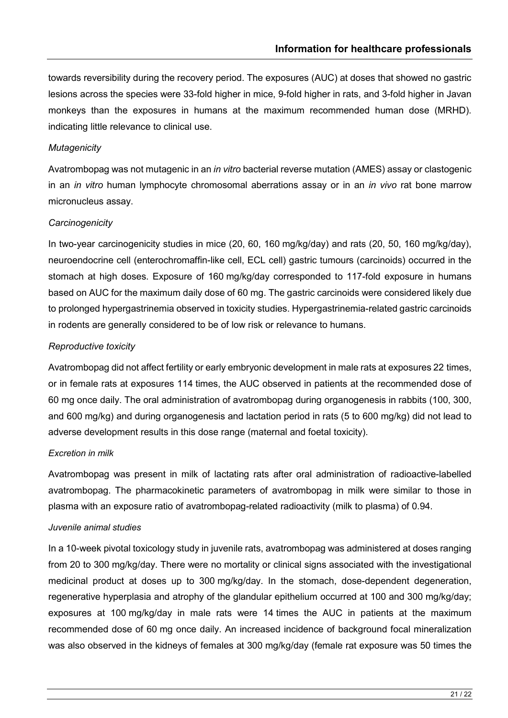towards reversibility during the recovery period. The exposures (AUC) at doses that showed no gastric lesions across the species were 33-fold higher in mice, 9-fold higher in rats, and 3-fold higher in Javan monkeys than the exposures in humans at the maximum recommended human dose (MRHD). indicating little relevance to clinical use.

## *Mutagenicity*

Avatrombopag was not mutagenic in an *in vitro* bacterial reverse mutation (AMES) assay or clastogenic in an *in vitro* human lymphocyte chromosomal aberrations assay or in an *in vivo* rat bone marrow micronucleus assay.

### *Carcinogenicity*

In two-year carcinogenicity studies in mice (20, 60, 160 mg/kg/day) and rats (20, 50, 160 mg/kg/day), neuroendocrine cell (enterochromaffin-like cell, ECL cell) gastric tumours (carcinoids) occurred in the stomach at high doses. Exposure of 160 mg/kg/day corresponded to 117-fold exposure in humans based on AUC for the maximum daily dose of 60 mg. The gastric carcinoids were considered likely due to prolonged hypergastrinemia observed in toxicity studies. Hypergastrinemia-related gastric carcinoids in rodents are generally considered to be of low risk or relevance to humans.

# *Reproductive toxicity*

Avatrombopag did not affect fertility or early embryonic development in male rats at exposures 22 times, or in female rats at exposures 114 times, the AUC observed in patients at the recommended dose of 60 mg once daily. The oral administration of avatrombopag during organogenesis in rabbits (100, 300, and 600 mg/kg) and during organogenesis and lactation period in rats (5 to 600 mg/kg) did not lead to adverse development results in this dose range (maternal and foetal toxicity).

#### *Excretion in milk*

Avatrombopag was present in milk of lactating rats after oral administration of radioactive-labelled avatrombopag. The pharmacokinetic parameters of avatrombopag in milk were similar to those in plasma with an exposure ratio of avatrombopag-related radioactivity (milk to plasma) of 0.94.

#### *Juvenile animal studies*

In a 10-week pivotal toxicology study in juvenile rats, avatrombopag was administered at doses ranging from 20 to 300 mg/kg/day. There were no mortality or clinical signs associated with the investigational medicinal product at doses up to 300 mg/kg/day. In the stomach, dose-dependent degeneration, regenerative hyperplasia and atrophy of the glandular epithelium occurred at 100 and 300 mg/kg/day; exposures at 100 mg/kg/day in male rats were 14 times the AUC in patients at the maximum recommended dose of 60 mg once daily. An increased incidence of background focal mineralization was also observed in the kidneys of females at 300 mg/kg/day (female rat exposure was 50 times the